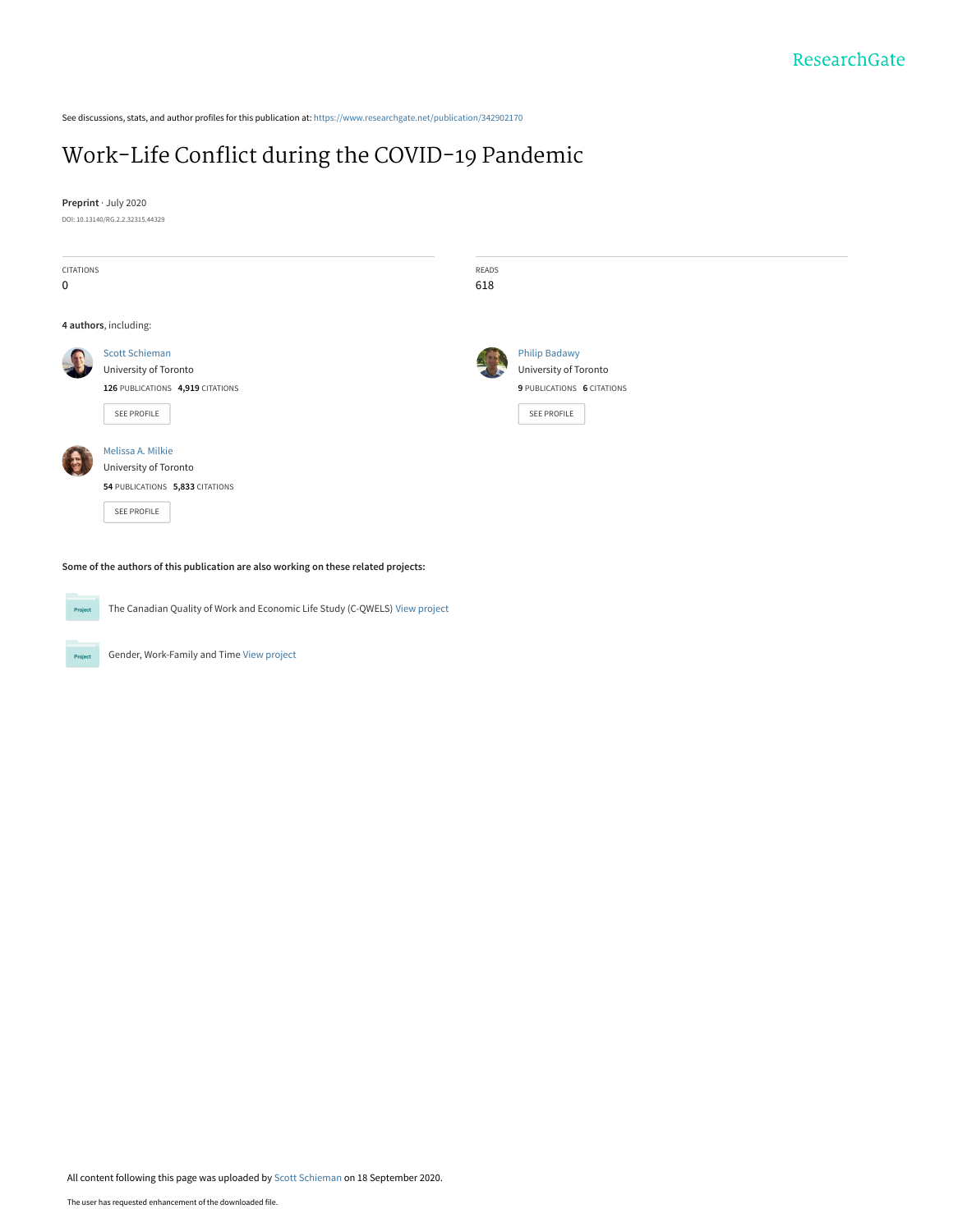See discussions, stats, and author profiles for this publication at: [https://www.researchgate.net/publication/342902170](https://www.researchgate.net/publication/342902170_Work-Life_Conflict_during_the_COVID-19_Pandemic?enrichId=rgreq-a5e22df3c988322d166f0ae03870d8f3-XXX&enrichSource=Y292ZXJQYWdlOzM0MjkwMjE3MDtBUzo5MzcwNzA3MjU5NzE5NjlAMTYwMDQyNjQ3OTQzNg%3D%3D&el=1_x_2&_esc=publicationCoverPdf)

# [Work-Life Conflict during the COVID-19 Pandemic](https://www.researchgate.net/publication/342902170_Work-Life_Conflict_during_the_COVID-19_Pandemic?enrichId=rgreq-a5e22df3c988322d166f0ae03870d8f3-XXX&enrichSource=Y292ZXJQYWdlOzM0MjkwMjE3MDtBUzo5MzcwNzA3MjU5NzE5NjlAMTYwMDQyNjQ3OTQzNg%3D%3D&el=1_x_3&_esc=publicationCoverPdf)

**Preprint** · July 2020

Project

DOI: 10.13140/RG.2.2.32315.44329

| CITATIONS<br>$\mathbf 0$ |                                                                                                   | READS<br>618 |                                                                                            |  |  |  |  |
|--------------------------|---------------------------------------------------------------------------------------------------|--------------|--------------------------------------------------------------------------------------------|--|--|--|--|
|                          | 4 authors, including:                                                                             |              |                                                                                            |  |  |  |  |
|                          | <b>Scott Schieman</b><br>University of Toronto<br>126 PUBLICATIONS 4,919 CITATIONS<br>SEE PROFILE |              | <b>Philip Badawy</b><br>University of Toronto<br>9 PUBLICATIONS 6 CITATIONS<br>SEE PROFILE |  |  |  |  |
|                          | Melissa A. Milkie<br>University of Toronto<br>54 PUBLICATIONS 5,833 CITATIONS<br>SEE PROFILE      |              |                                                                                            |  |  |  |  |

**Some of the authors of this publication are also working on these related projects:**

The Canadian Quality of Work and Economic Life Study (C-QWELS) [View project](https://www.researchgate.net/project/The-Canadian-Quality-of-Work-and-Economic-Life-Study-C-QWELS?enrichId=rgreq-a5e22df3c988322d166f0ae03870d8f3-XXX&enrichSource=Y292ZXJQYWdlOzM0MjkwMjE3MDtBUzo5MzcwNzA3MjU5NzE5NjlAMTYwMDQyNjQ3OTQzNg%3D%3D&el=1_x_9&_esc=publicationCoverPdf) Project

Gender, Work-Family and Time [View project](https://www.researchgate.net/project/Gender-Work-Family-and-Time?enrichId=rgreq-a5e22df3c988322d166f0ae03870d8f3-XXX&enrichSource=Y292ZXJQYWdlOzM0MjkwMjE3MDtBUzo5MzcwNzA3MjU5NzE5NjlAMTYwMDQyNjQ3OTQzNg%3D%3D&el=1_x_9&_esc=publicationCoverPdf)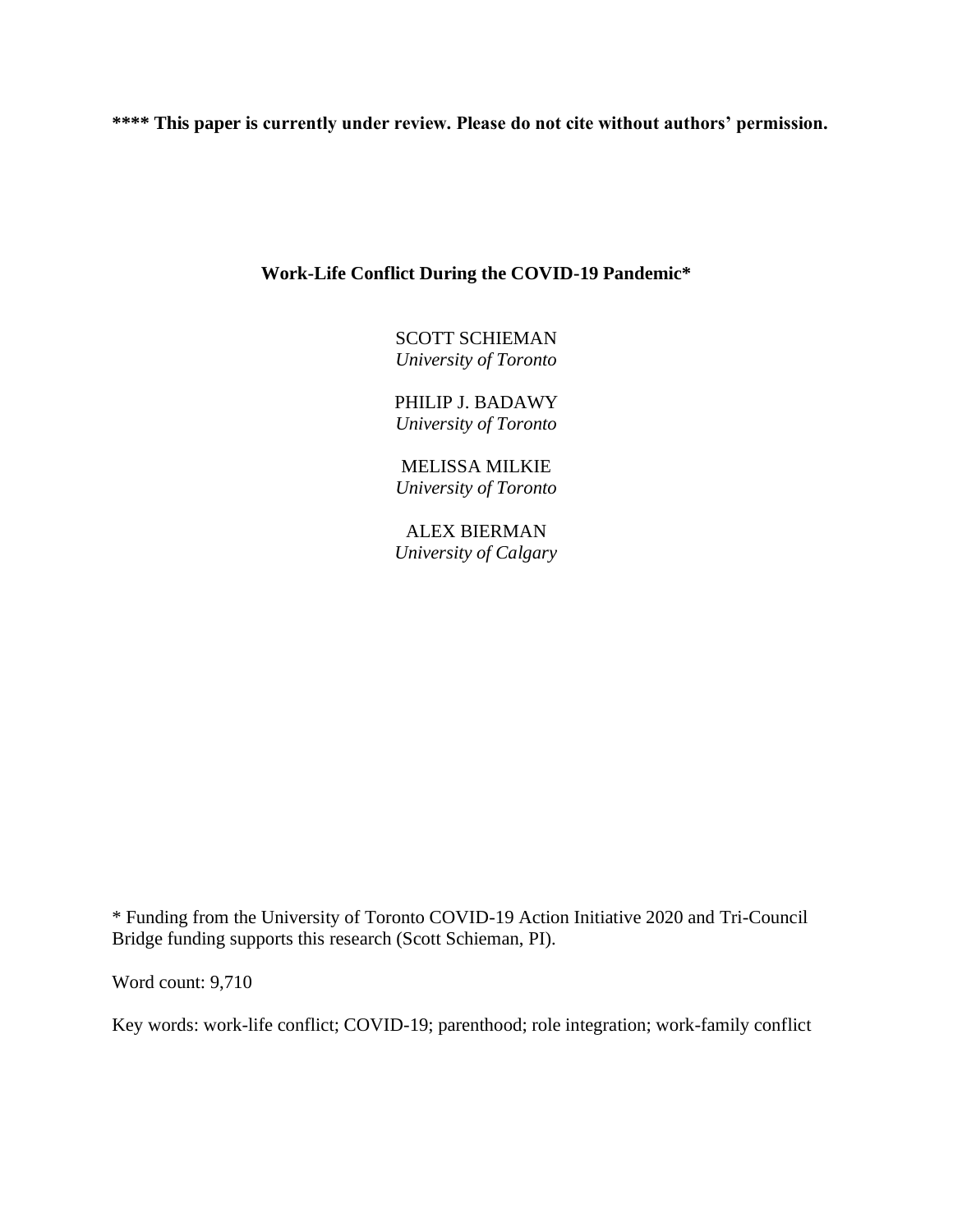**\*\*\*\* This paper is currently under review. Please do not cite without authors' permission.**

## **Work-Life Conflict During the COVID-19 Pandemic\***

SCOTT SCHIEMAN *University of Toronto*

PHILIP J. BADAWY *University of Toronto*

MELISSA MILKIE *University of Toronto*

ALEX BIERMAN *University of Calgary*

\* Funding from the University of Toronto COVID-19 Action Initiative 2020 and Tri-Council Bridge funding supports this research (Scott Schieman, PI).

Word count: 9,710

Key words: work-life conflict; COVID-19; parenthood; role integration; work-family conflict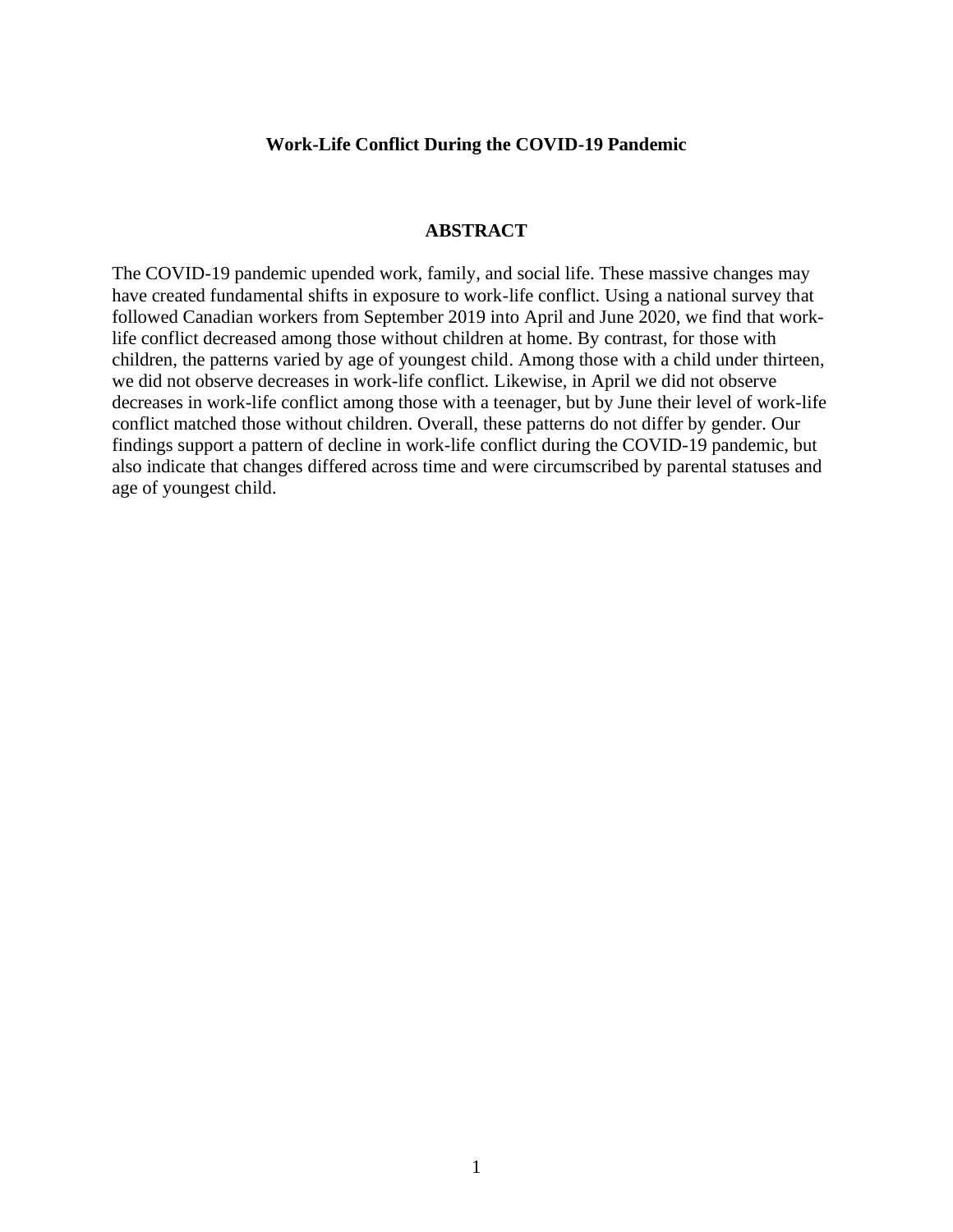## **Work-Life Conflict During the COVID-19 Pandemic**

## **ABSTRACT**

The COVID-19 pandemic upended work, family, and social life. These massive changes may have created fundamental shifts in exposure to work-life conflict. Using a national survey that followed Canadian workers from September 2019 into April and June 2020, we find that worklife conflict decreased among those without children at home. By contrast, for those with children, the patterns varied by age of youngest child. Among those with a child under thirteen, we did not observe decreases in work-life conflict. Likewise, in April we did not observe decreases in work-life conflict among those with a teenager, but by June their level of work-life conflict matched those without children. Overall, these patterns do not differ by gender. Our findings support a pattern of decline in work-life conflict during the COVID-19 pandemic, but also indicate that changes differed across time and were circumscribed by parental statuses and age of youngest child.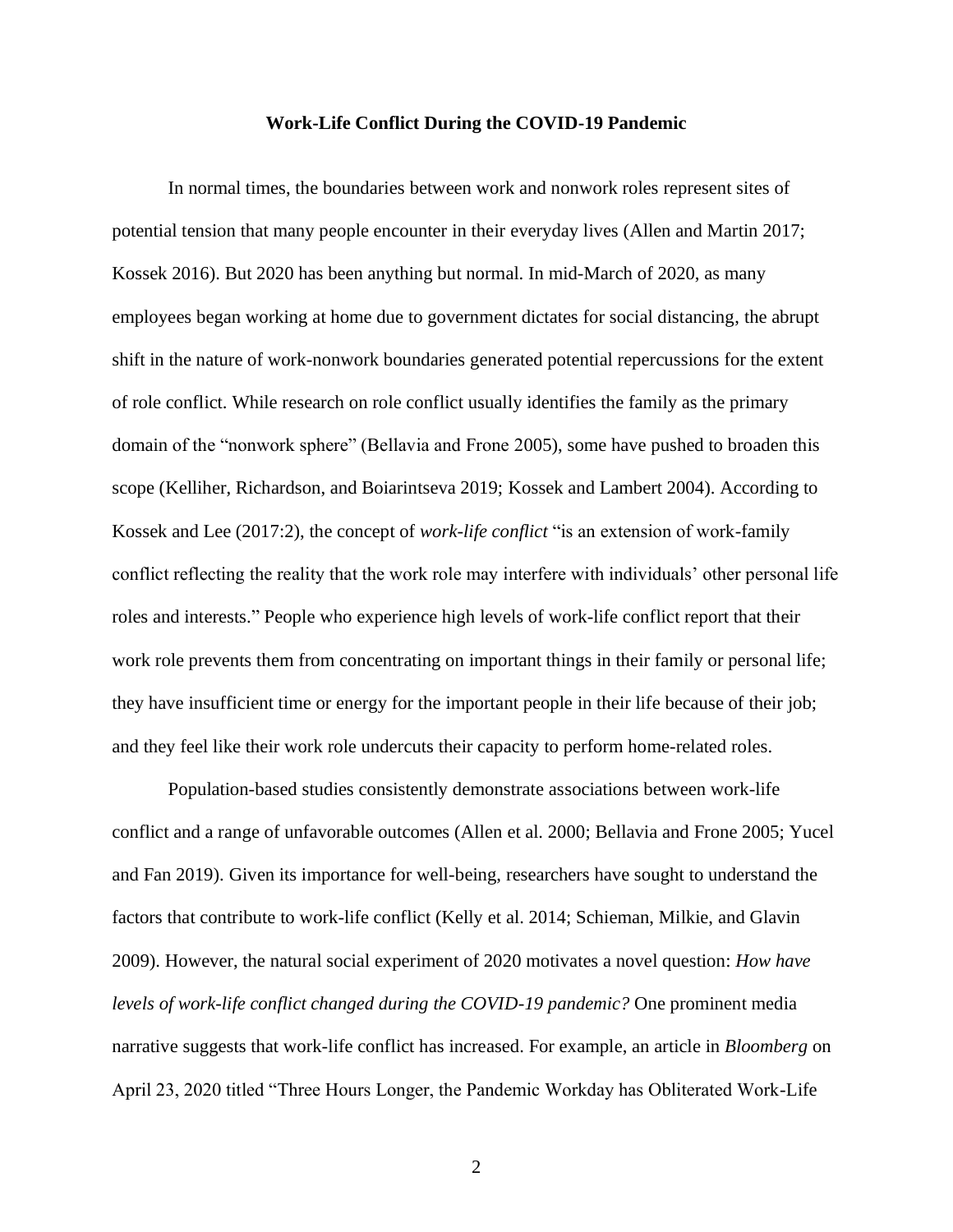#### **Work-Life Conflict During the COVID-19 Pandemic**

In normal times, the boundaries between work and nonwork roles represent sites of potential tension that many people encounter in their everyday lives (Allen and Martin 2017; Kossek 2016). But 2020 has been anything but normal. In mid-March of 2020, as many employees began working at home due to government dictates for social distancing, the abrupt shift in the nature of work-nonwork boundaries generated potential repercussions for the extent of role conflict. While research on role conflict usually identifies the family as the primary domain of the "nonwork sphere" (Bellavia and Frone 2005), some have pushed to broaden this scope (Kelliher, Richardson, and Boiarintseva 2019; Kossek and Lambert 2004). According to Kossek and Lee (2017:2), the concept of *work-life conflict* "is an extension of work-family conflict reflecting the reality that the work role may interfere with individuals' other personal life roles and interests." People who experience high levels of work-life conflict report that their work role prevents them from concentrating on important things in their family or personal life; they have insufficient time or energy for the important people in their life because of their job; and they feel like their work role undercuts their capacity to perform home-related roles.

Population-based studies consistently demonstrate associations between work-life conflict and a range of unfavorable outcomes (Allen et al. 2000; Bellavia and Frone 2005; Yucel and Fan 2019). Given its importance for well-being, researchers have sought to understand the factors that contribute to work-life conflict (Kelly et al. 2014; Schieman, Milkie, and Glavin 2009). However, the natural social experiment of 2020 motivates a novel question: *How have levels of work-life conflict changed during the COVID-19 pandemic?* One prominent media narrative suggests that work-life conflict has increased. For example, an article in *Bloomberg* on April 23, 2020 titled "Three Hours Longer, the Pandemic Workday has Obliterated Work-Life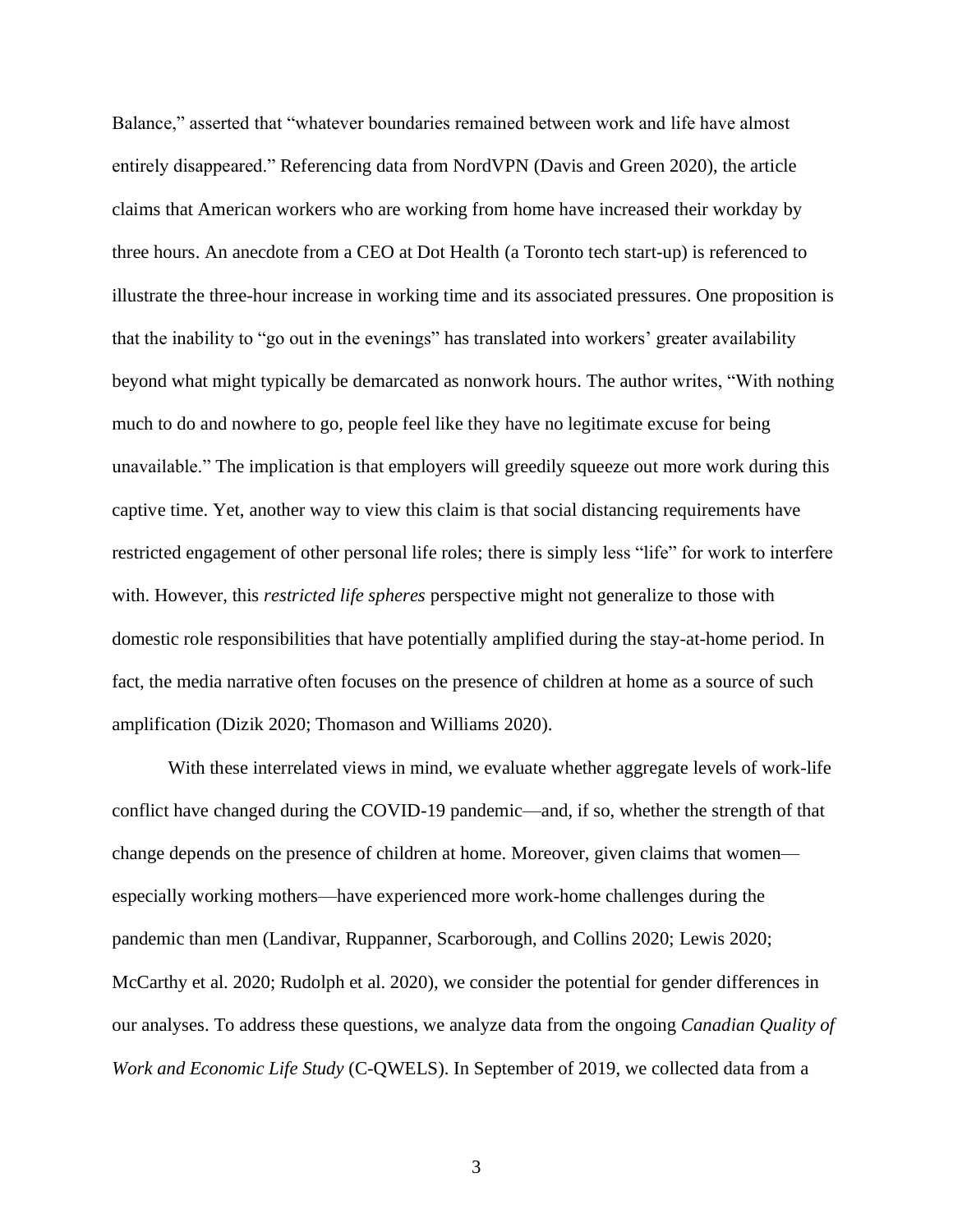Balance," asserted that "whatever boundaries remained between work and life have almost entirely disappeared." Referencing data from NordVPN (Davis and Green 2020), the article claims that American workers who are working from home have increased their workday by three hours. An anecdote from a CEO at Dot Health (a Toronto tech start-up) is referenced to illustrate the three-hour increase in working time and its associated pressures. One proposition is that the inability to "go out in the evenings" has translated into workers' greater availability beyond what might typically be demarcated as nonwork hours. The author writes, "With nothing much to do and nowhere to go, people feel like they have no legitimate excuse for being unavailable." The implication is that employers will greedily squeeze out more work during this captive time. Yet, another way to view this claim is that social distancing requirements have restricted engagement of other personal life roles; there is simply less "life" for work to interfere with. However, this *restricted life spheres* perspective might not generalize to those with domestic role responsibilities that have potentially amplified during the stay-at-home period. In fact, the media narrative often focuses on the presence of children at home as a source of such amplification (Dizik 2020; Thomason and Williams 2020).

With these interrelated views in mind, we evaluate whether aggregate levels of work-life conflict have changed during the COVID-19 pandemic—and, if so, whether the strength of that change depends on the presence of children at home. Moreover, given claims that women especially working mothers—have experienced more work-home challenges during the pandemic than men (Landivar, Ruppanner, Scarborough, and Collins 2020; Lewis 2020; McCarthy et al. 2020; Rudolph et al. 2020), we consider the potential for gender differences in our analyses. To address these questions, we analyze data from the ongoing *Canadian Quality of Work and Economic Life Study* (C-QWELS). In September of 2019, we collected data from a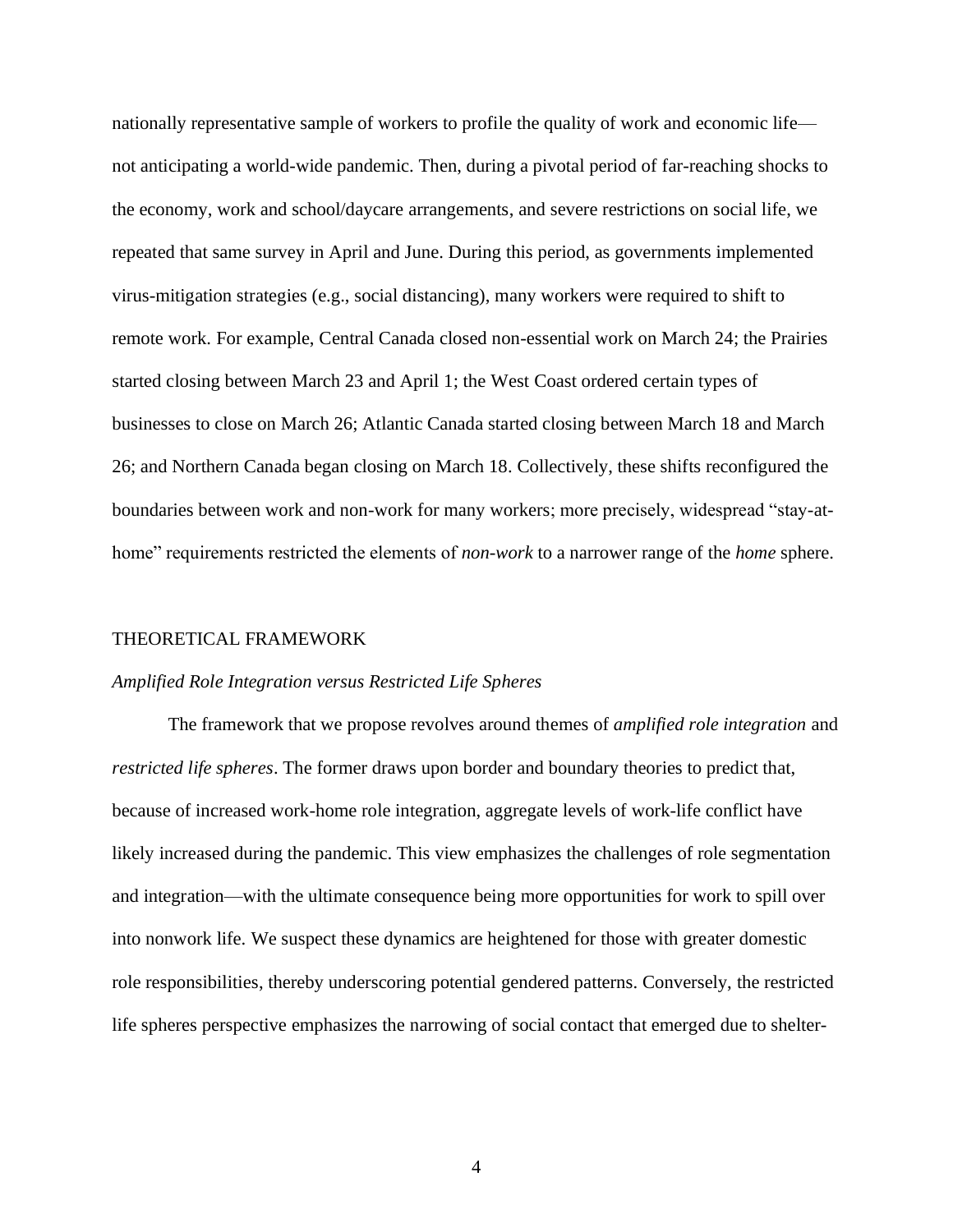nationally representative sample of workers to profile the quality of work and economic life not anticipating a world-wide pandemic. Then, during a pivotal period of far-reaching shocks to the economy, work and school/daycare arrangements, and severe restrictions on social life, we repeated that same survey in April and June. During this period, as governments implemented virus-mitigation strategies (e.g., social distancing), many workers were required to shift to remote work. For example, Central Canada closed non-essential work on March 24; the Prairies started closing between March 23 and April 1; the West Coast ordered certain types of businesses to close on March 26; Atlantic Canada started closing between March 18 and March 26; and Northern Canada began closing on March 18. Collectively, these shifts reconfigured the boundaries between work and non-work for many workers; more precisely, widespread "stay-athome" requirements restricted the elements of *non-work* to a narrower range of the *home* sphere.

#### THEORETICAL FRAMEWORK

#### *Amplified Role Integration versus Restricted Life Spheres*

The framework that we propose revolves around themes of *amplified role integration* and *restricted life spheres*. The former draws upon border and boundary theories to predict that, because of increased work-home role integration, aggregate levels of work-life conflict have likely increased during the pandemic. This view emphasizes the challenges of role segmentation and integration—with the ultimate consequence being more opportunities for work to spill over into nonwork life. We suspect these dynamics are heightened for those with greater domestic role responsibilities, thereby underscoring potential gendered patterns. Conversely, the restricted life spheres perspective emphasizes the narrowing of social contact that emerged due to shelter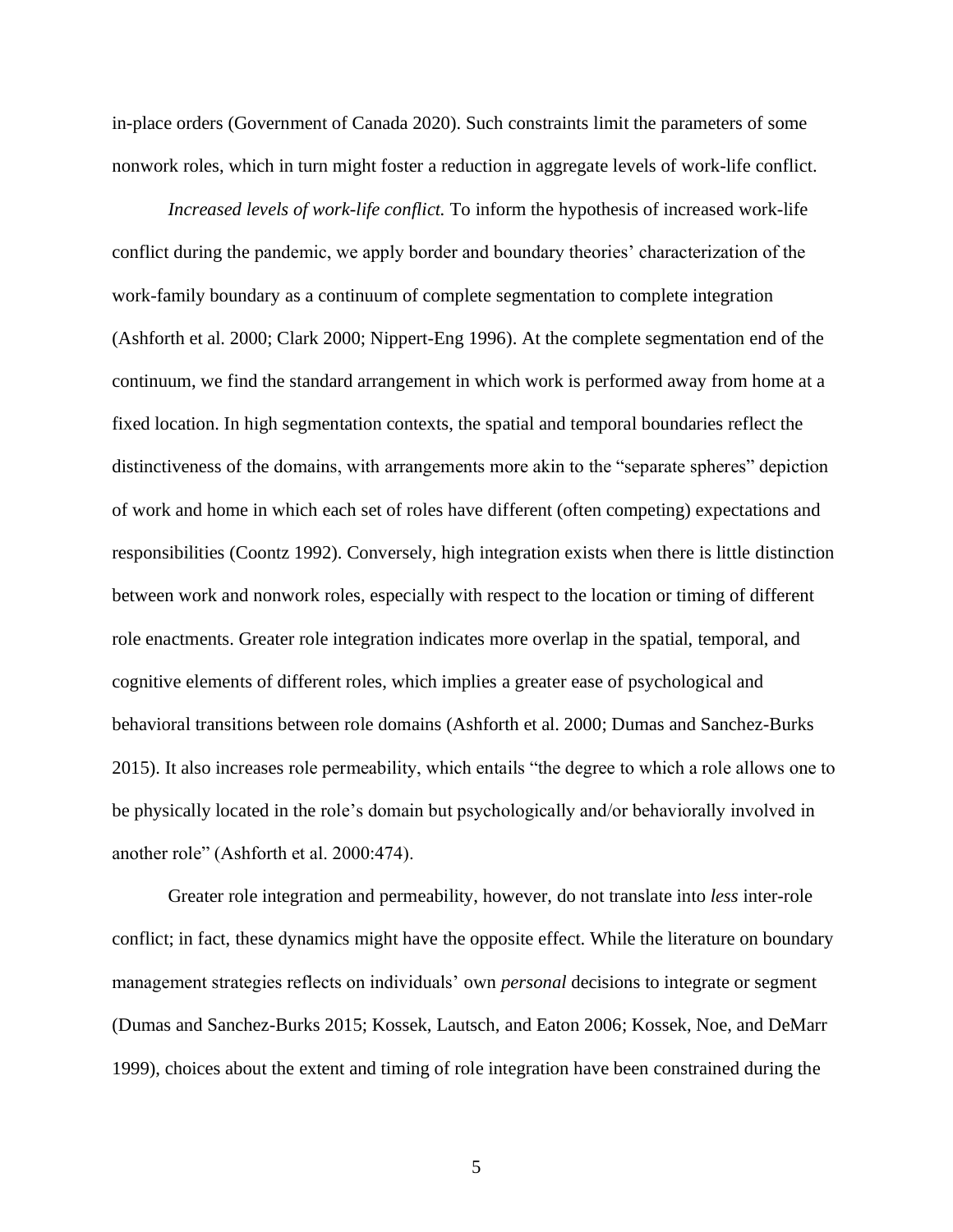in-place orders (Government of Canada 2020). Such constraints limit the parameters of some nonwork roles, which in turn might foster a reduction in aggregate levels of work-life conflict.

*Increased levels of work-life conflict.* To inform the hypothesis of increased work-life conflict during the pandemic, we apply border and boundary theories' characterization of the work-family boundary as a continuum of complete segmentation to complete integration (Ashforth et al. 2000; Clark 2000; Nippert-Eng 1996). At the complete segmentation end of the continuum, we find the standard arrangement in which work is performed away from home at a fixed location. In high segmentation contexts, the spatial and temporal boundaries reflect the distinctiveness of the domains, with arrangements more akin to the "separate spheres" depiction of work and home in which each set of roles have different (often competing) expectations and responsibilities (Coontz 1992). Conversely, high integration exists when there is little distinction between work and nonwork roles, especially with respect to the location or timing of different role enactments. Greater role integration indicates more overlap in the spatial, temporal, and cognitive elements of different roles, which implies a greater ease of psychological and behavioral transitions between role domains (Ashforth et al. 2000; Dumas and Sanchez-Burks 2015). It also increases role permeability, which entails "the degree to which a role allows one to be physically located in the role's domain but psychologically and/or behaviorally involved in another role" (Ashforth et al. 2000:474).

Greater role integration and permeability, however, do not translate into *less* inter-role conflict; in fact, these dynamics might have the opposite effect. While the literature on boundary management strategies reflects on individuals' own *personal* decisions to integrate or segment (Dumas and Sanchez-Burks 2015; Kossek, Lautsch, and Eaton 2006; Kossek, Noe, and DeMarr 1999), choices about the extent and timing of role integration have been constrained during the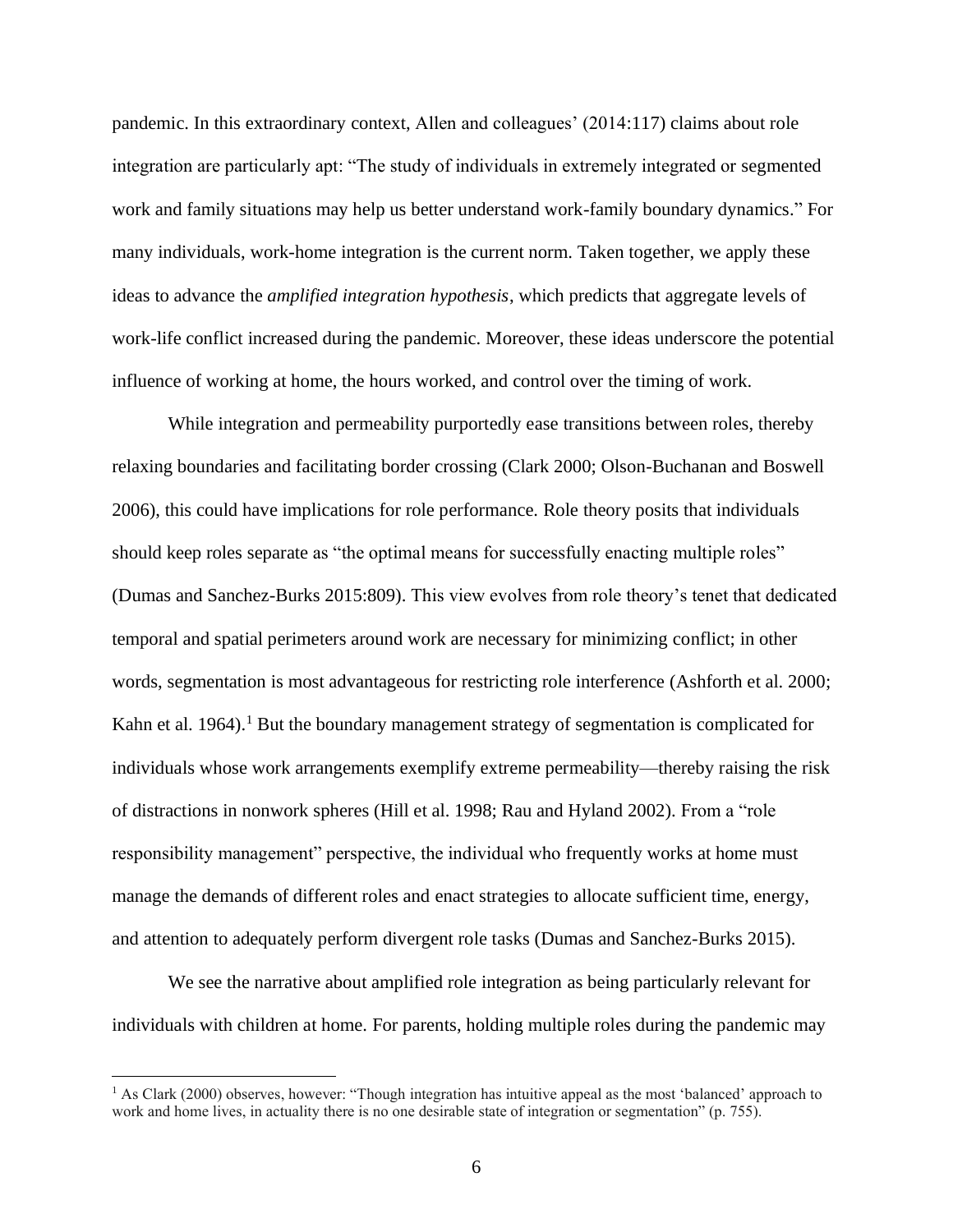pandemic. In this extraordinary context, Allen and colleagues' (2014:117) claims about role integration are particularly apt: "The study of individuals in extremely integrated or segmented work and family situations may help us better understand work-family boundary dynamics." For many individuals, work-home integration is the current norm. Taken together, we apply these ideas to advance the *amplified integration hypothesis*, which predicts that aggregate levels of work-life conflict increased during the pandemic. Moreover, these ideas underscore the potential influence of working at home, the hours worked, and control over the timing of work.

While integration and permeability purportedly ease transitions between roles, thereby relaxing boundaries and facilitating border crossing (Clark 2000; Olson-Buchanan and Boswell 2006), this could have implications for role performance. Role theory posits that individuals should keep roles separate as "the optimal means for successfully enacting multiple roles" (Dumas and Sanchez-Burks 2015:809). This view evolves from role theory's tenet that dedicated temporal and spatial perimeters around work are necessary for minimizing conflict; in other words, segmentation is most advantageous for restricting role interference (Ashforth et al. 2000; Kahn et al.  $1964$ .<sup>1</sup> But the boundary management strategy of segmentation is complicated for individuals whose work arrangements exemplify extreme permeability—thereby raising the risk of distractions in nonwork spheres (Hill et al. 1998; Rau and Hyland 2002). From a "role responsibility management" perspective, the individual who frequently works at home must manage the demands of different roles and enact strategies to allocate sufficient time, energy, and attention to adequately perform divergent role tasks (Dumas and Sanchez-Burks 2015).

We see the narrative about amplified role integration as being particularly relevant for individuals with children at home. For parents, holding multiple roles during the pandemic may

<sup>&</sup>lt;sup>1</sup> As Clark (2000) observes, however: "Though integration has intuitive appeal as the most 'balanced' approach to work and home lives, in actuality there is no one desirable state of integration or segmentation" (p. 755).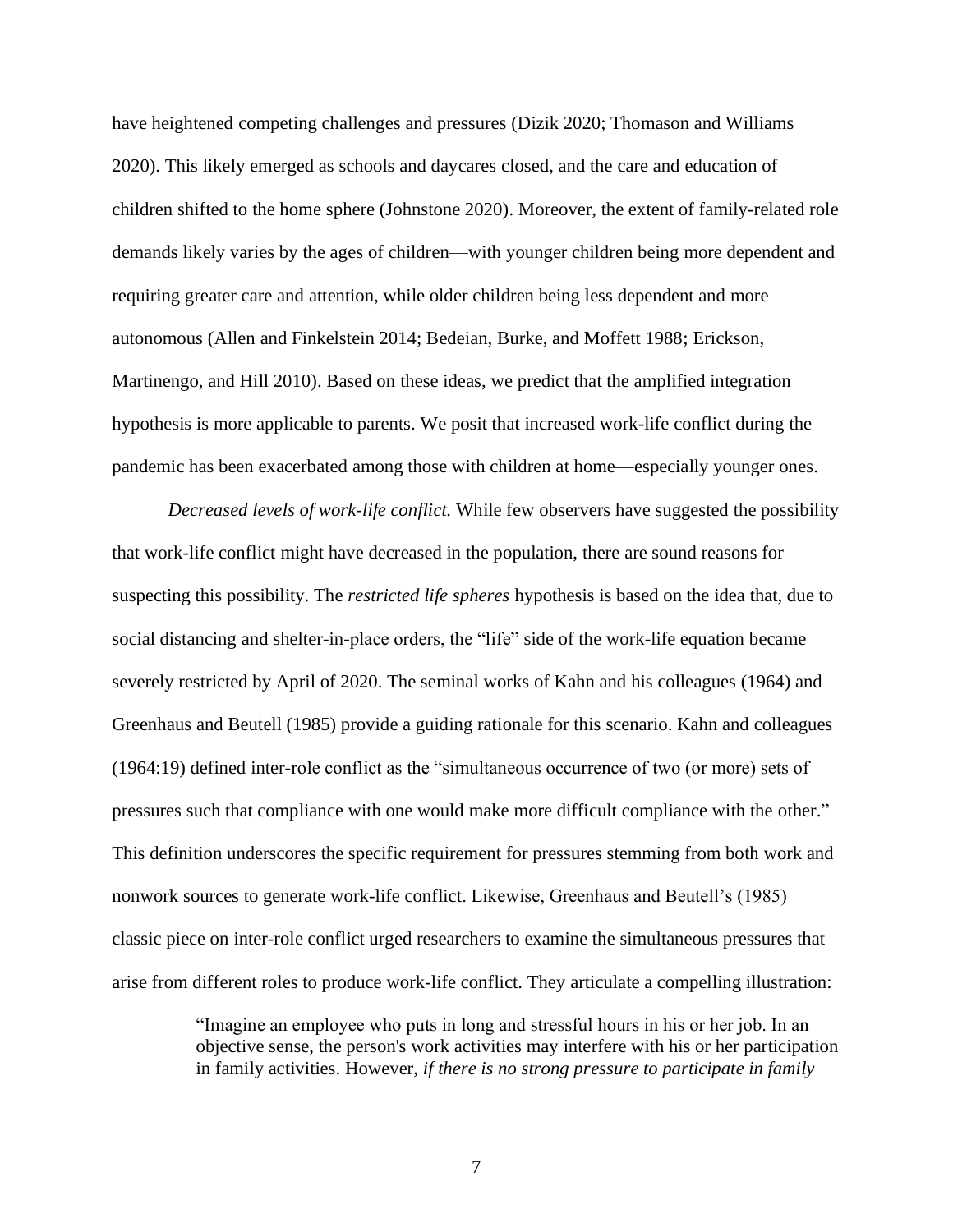have heightened competing challenges and pressures (Dizik 2020; Thomason and Williams 2020). This likely emerged as schools and daycares closed, and the care and education of children shifted to the home sphere (Johnstone 2020). Moreover, the extent of family-related role demands likely varies by the ages of children—with younger children being more dependent and requiring greater care and attention, while older children being less dependent and more autonomous (Allen and Finkelstein 2014; Bedeian, Burke, and Moffett 1988; Erickson, Martinengo, and Hill 2010). Based on these ideas, we predict that the amplified integration hypothesis is more applicable to parents. We posit that increased work-life conflict during the pandemic has been exacerbated among those with children at home—especially younger ones.

*Decreased levels of work-life conflict.* While few observers have suggested the possibility that work-life conflict might have decreased in the population, there are sound reasons for suspecting this possibility. The *restricted life spheres* hypothesis is based on the idea that, due to social distancing and shelter-in-place orders, the "life" side of the work-life equation became severely restricted by April of 2020. The seminal works of Kahn and his colleagues (1964) and Greenhaus and Beutell (1985) provide a guiding rationale for this scenario. Kahn and colleagues (1964:19) defined inter-role conflict as the "simultaneous occurrence of two (or more) sets of pressures such that compliance with one would make more difficult compliance with the other." This definition underscores the specific requirement for pressures stemming from both work and nonwork sources to generate work-life conflict. Likewise, Greenhaus and Beutell's (1985) classic piece on inter-role conflict urged researchers to examine the simultaneous pressures that arise from different roles to produce work-life conflict. They articulate a compelling illustration:

> "Imagine an employee who puts in long and stressful hours in his or her job. In an objective sense, the person's work activities may interfere with his or her participation in family activities. However, *if there is no strong pressure to participate in family*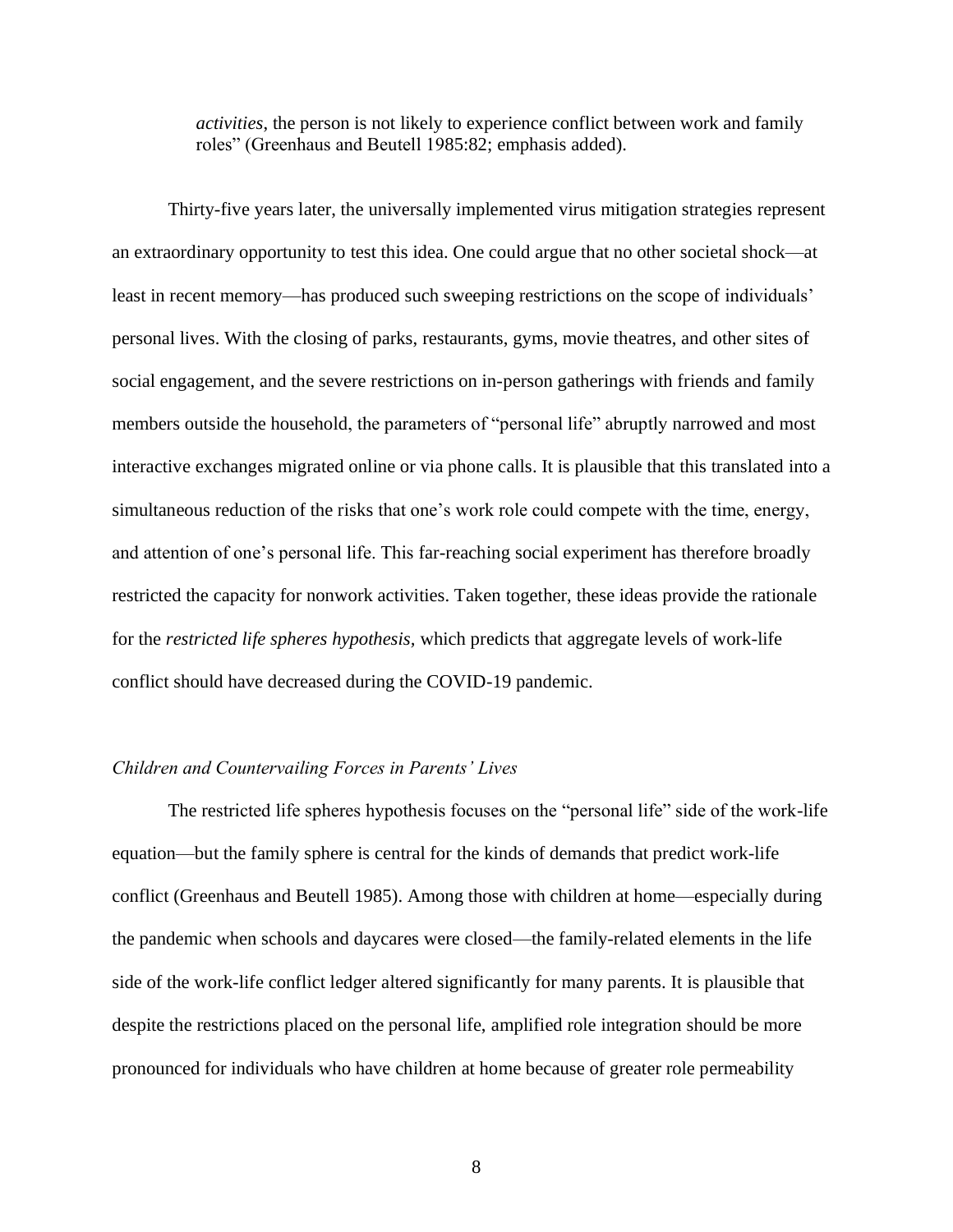*activities*, the person is not likely to experience conflict between work and family roles" (Greenhaus and Beutell 1985:82; emphasis added).

Thirty-five years later, the universally implemented virus mitigation strategies represent an extraordinary opportunity to test this idea. One could argue that no other societal shock—at least in recent memory—has produced such sweeping restrictions on the scope of individuals' personal lives. With the closing of parks, restaurants, gyms, movie theatres, and other sites of social engagement, and the severe restrictions on in-person gatherings with friends and family members outside the household, the parameters of "personal life" abruptly narrowed and most interactive exchanges migrated online or via phone calls. It is plausible that this translated into a simultaneous reduction of the risks that one's work role could compete with the time, energy, and attention of one's personal life. This far-reaching social experiment has therefore broadly restricted the capacity for nonwork activities. Taken together, these ideas provide the rationale for the *restricted life spheres hypothesis,* which predicts that aggregate levels of work-life conflict should have decreased during the COVID-19 pandemic.

## *Children and Countervailing Forces in Parents' Lives*

The restricted life spheres hypothesis focuses on the "personal life" side of the work-life equation—but the family sphere is central for the kinds of demands that predict work-life conflict (Greenhaus and Beutell 1985). Among those with children at home—especially during the pandemic when schools and daycares were closed—the family-related elements in the life side of the work-life conflict ledger altered significantly for many parents. It is plausible that despite the restrictions placed on the personal life, amplified role integration should be more pronounced for individuals who have children at home because of greater role permeability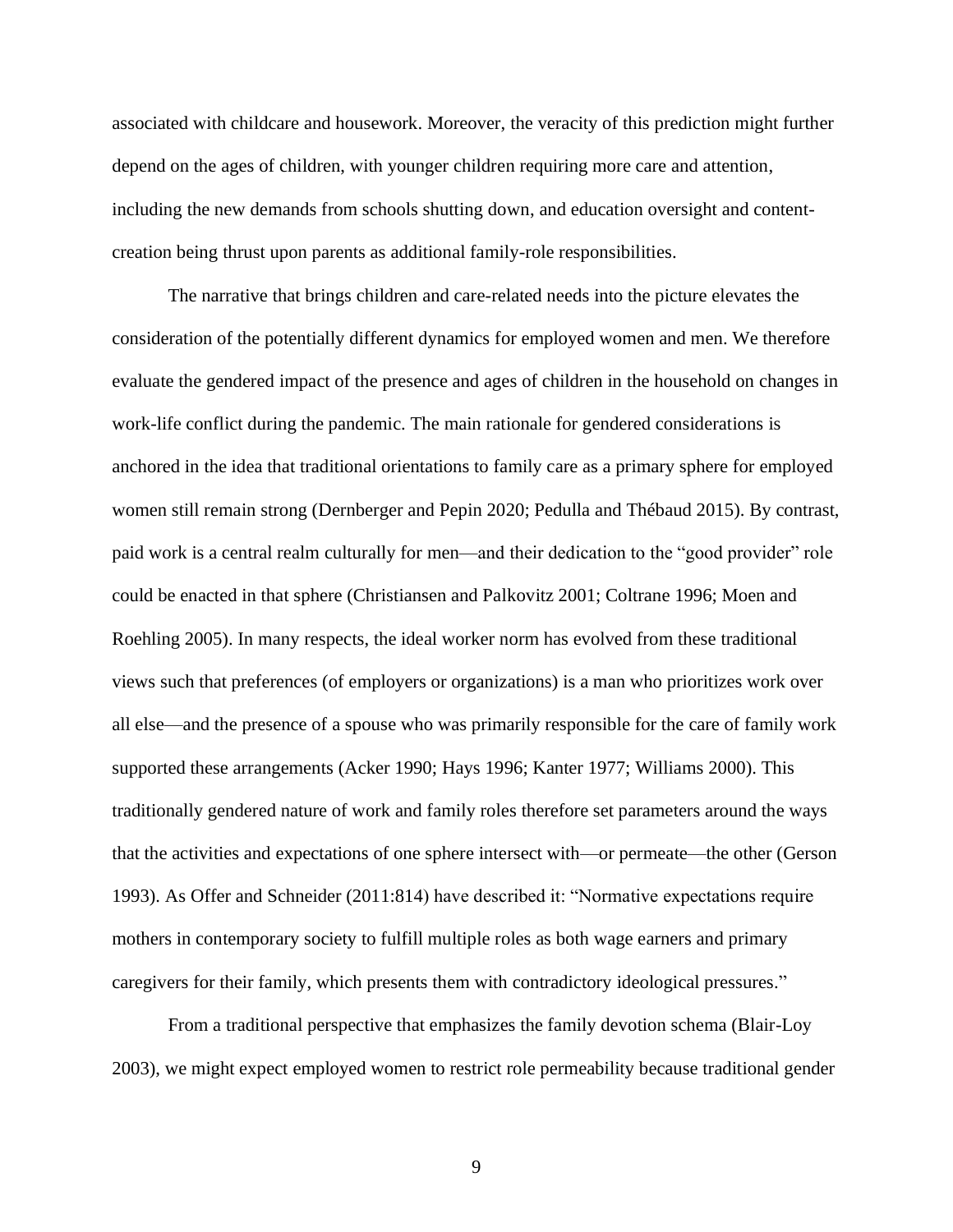associated with childcare and housework. Moreover, the veracity of this prediction might further depend on the ages of children, with younger children requiring more care and attention, including the new demands from schools shutting down, and education oversight and contentcreation being thrust upon parents as additional family-role responsibilities.

The narrative that brings children and care-related needs into the picture elevates the consideration of the potentially different dynamics for employed women and men. We therefore evaluate the gendered impact of the presence and ages of children in the household on changes in work-life conflict during the pandemic. The main rationale for gendered considerations is anchored in the idea that traditional orientations to family care as a primary sphere for employed women still remain strong (Dernberger and Pepin 2020; Pedulla and Thébaud 2015). By contrast, paid work is a central realm culturally for men—and their dedication to the "good provider" role could be enacted in that sphere (Christiansen and Palkovitz 2001; Coltrane 1996; Moen and Roehling 2005). In many respects, the ideal worker norm has evolved from these traditional views such that preferences (of employers or organizations) is a man who prioritizes work over all else—and the presence of a spouse who was primarily responsible for the care of family work supported these arrangements (Acker 1990; Hays 1996; Kanter 1977; Williams 2000). This traditionally gendered nature of work and family roles therefore set parameters around the ways that the activities and expectations of one sphere intersect with—or permeate—the other (Gerson 1993). As Offer and Schneider (2011:814) have described it: "Normative expectations require mothers in contemporary society to fulfill multiple roles as both wage earners and primary caregivers for their family, which presents them with contradictory ideological pressures."

From a traditional perspective that emphasizes the family devotion schema (Blair-Loy 2003), we might expect employed women to restrict role permeability because traditional gender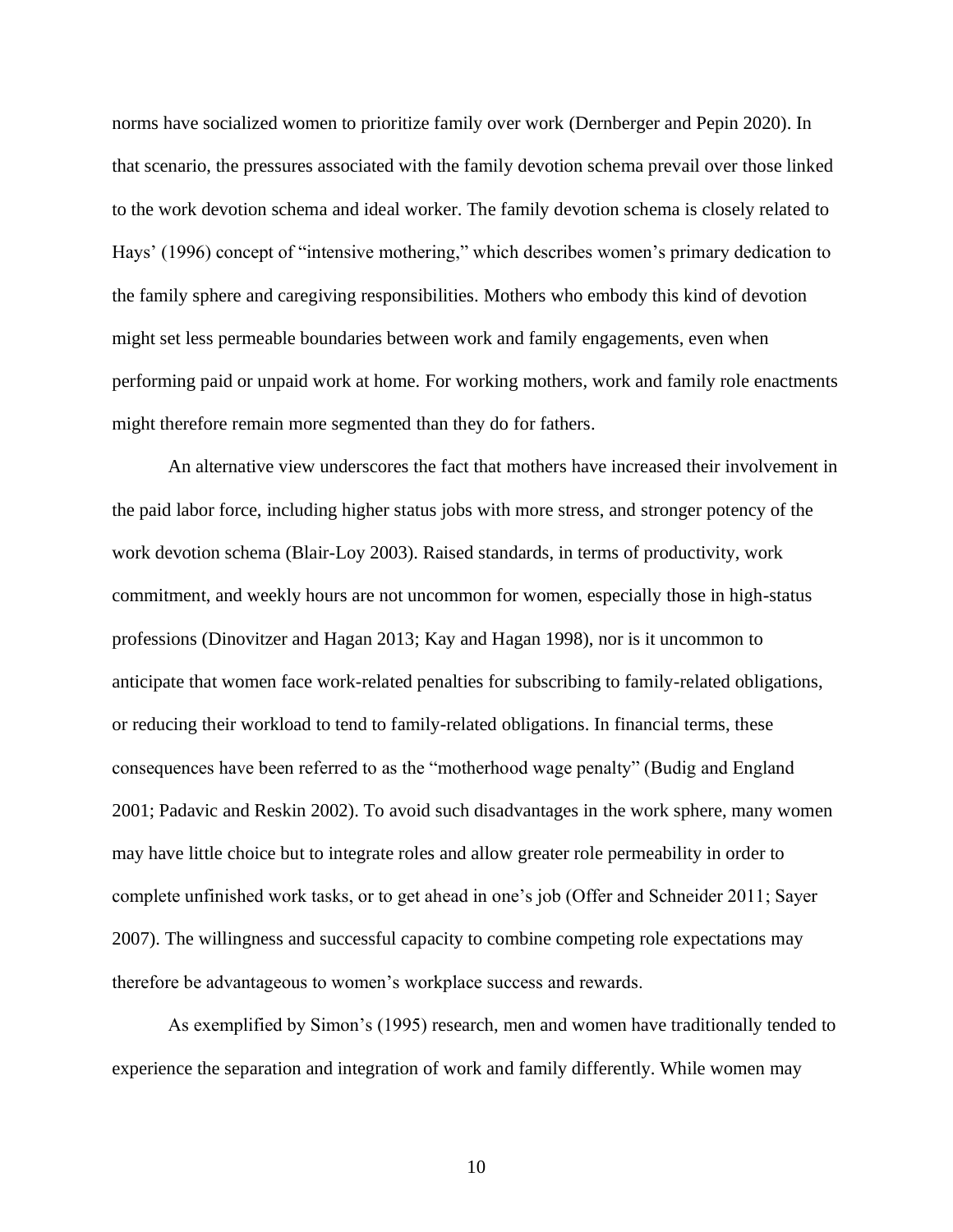norms have socialized women to prioritize family over work (Dernberger and Pepin 2020). In that scenario, the pressures associated with the family devotion schema prevail over those linked to the work devotion schema and ideal worker. The family devotion schema is closely related to Hays' (1996) concept of "intensive mothering," which describes women's primary dedication to the family sphere and caregiving responsibilities. Mothers who embody this kind of devotion might set less permeable boundaries between work and family engagements, even when performing paid or unpaid work at home. For working mothers, work and family role enactments might therefore remain more segmented than they do for fathers.

An alternative view underscores the fact that mothers have increased their involvement in the paid labor force, including higher status jobs with more stress, and stronger potency of the work devotion schema (Blair-Loy 2003). Raised standards, in terms of productivity, work commitment, and weekly hours are not uncommon for women, especially those in high-status professions (Dinovitzer and Hagan 2013; Kay and Hagan 1998), nor is it uncommon to anticipate that women face work-related penalties for subscribing to family-related obligations, or reducing their workload to tend to family-related obligations. In financial terms, these consequences have been referred to as the "motherhood wage penalty" (Budig and England 2001; Padavic and Reskin 2002). To avoid such disadvantages in the work sphere, many women may have little choice but to integrate roles and allow greater role permeability in order to complete unfinished work tasks, or to get ahead in one's job (Offer and Schneider 2011; Sayer 2007). The willingness and successful capacity to combine competing role expectations may therefore be advantageous to women's workplace success and rewards.

As exemplified by Simon's (1995) research, men and women have traditionally tended to experience the separation and integration of work and family differently. While women may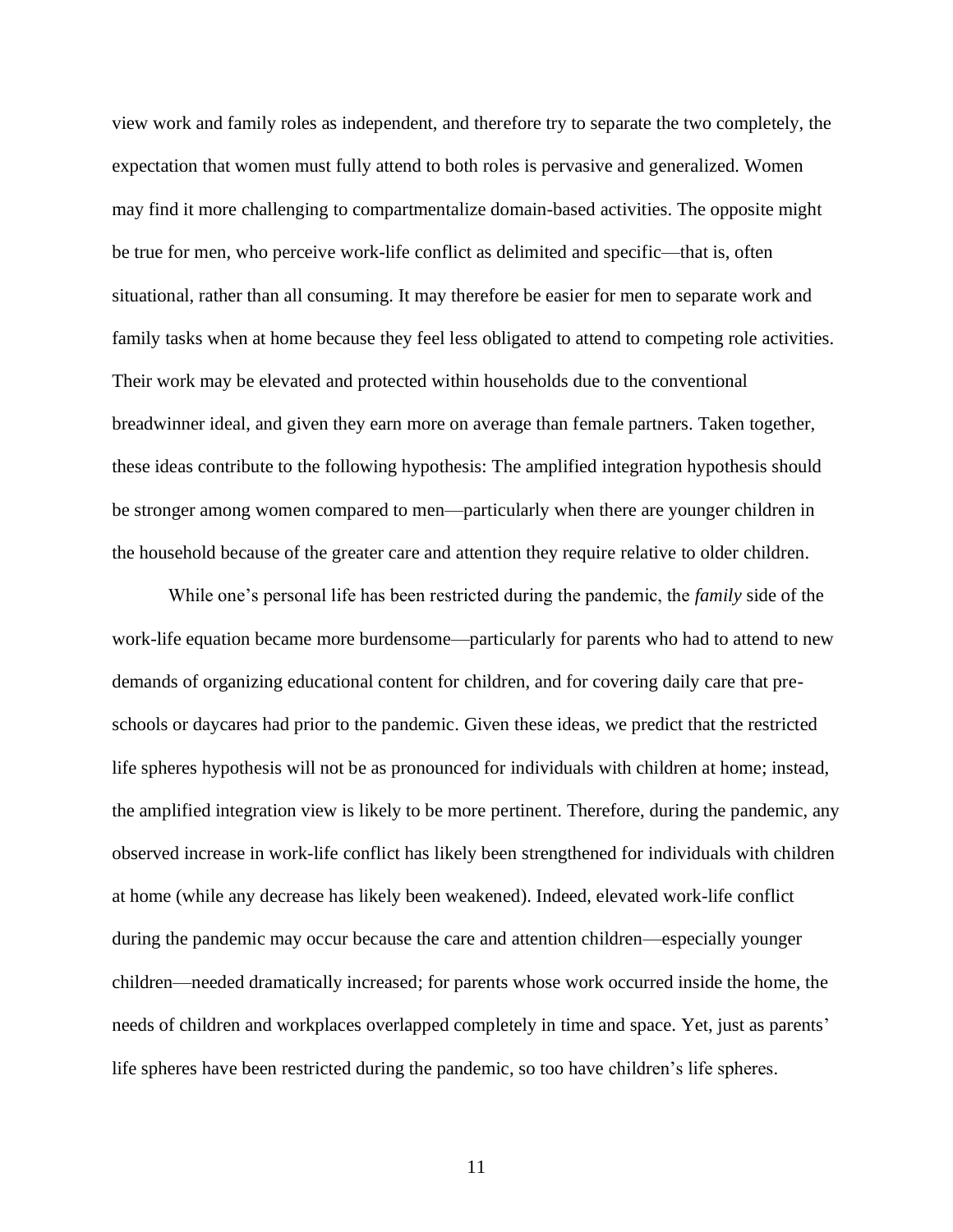view work and family roles as independent, and therefore try to separate the two completely, the expectation that women must fully attend to both roles is pervasive and generalized. Women may find it more challenging to compartmentalize domain-based activities. The opposite might be true for men, who perceive work-life conflict as delimited and specific—that is, often situational, rather than all consuming. It may therefore be easier for men to separate work and family tasks when at home because they feel less obligated to attend to competing role activities. Their work may be elevated and protected within households due to the conventional breadwinner ideal, and given they earn more on average than female partners. Taken together, these ideas contribute to the following hypothesis: The amplified integration hypothesis should be stronger among women compared to men—particularly when there are younger children in the household because of the greater care and attention they require relative to older children.

While one's personal life has been restricted during the pandemic, the *family* side of the work-life equation became more burdensome—particularly for parents who had to attend to new demands of organizing educational content for children, and for covering daily care that preschools or daycares had prior to the pandemic. Given these ideas, we predict that the restricted life spheres hypothesis will not be as pronounced for individuals with children at home; instead, the amplified integration view is likely to be more pertinent. Therefore, during the pandemic, any observed increase in work-life conflict has likely been strengthened for individuals with children at home (while any decrease has likely been weakened). Indeed, elevated work-life conflict during the pandemic may occur because the care and attention children—especially younger children—needed dramatically increased; for parents whose work occurred inside the home, the needs of children and workplaces overlapped completely in time and space. Yet, just as parents' life spheres have been restricted during the pandemic, so too have children's life spheres.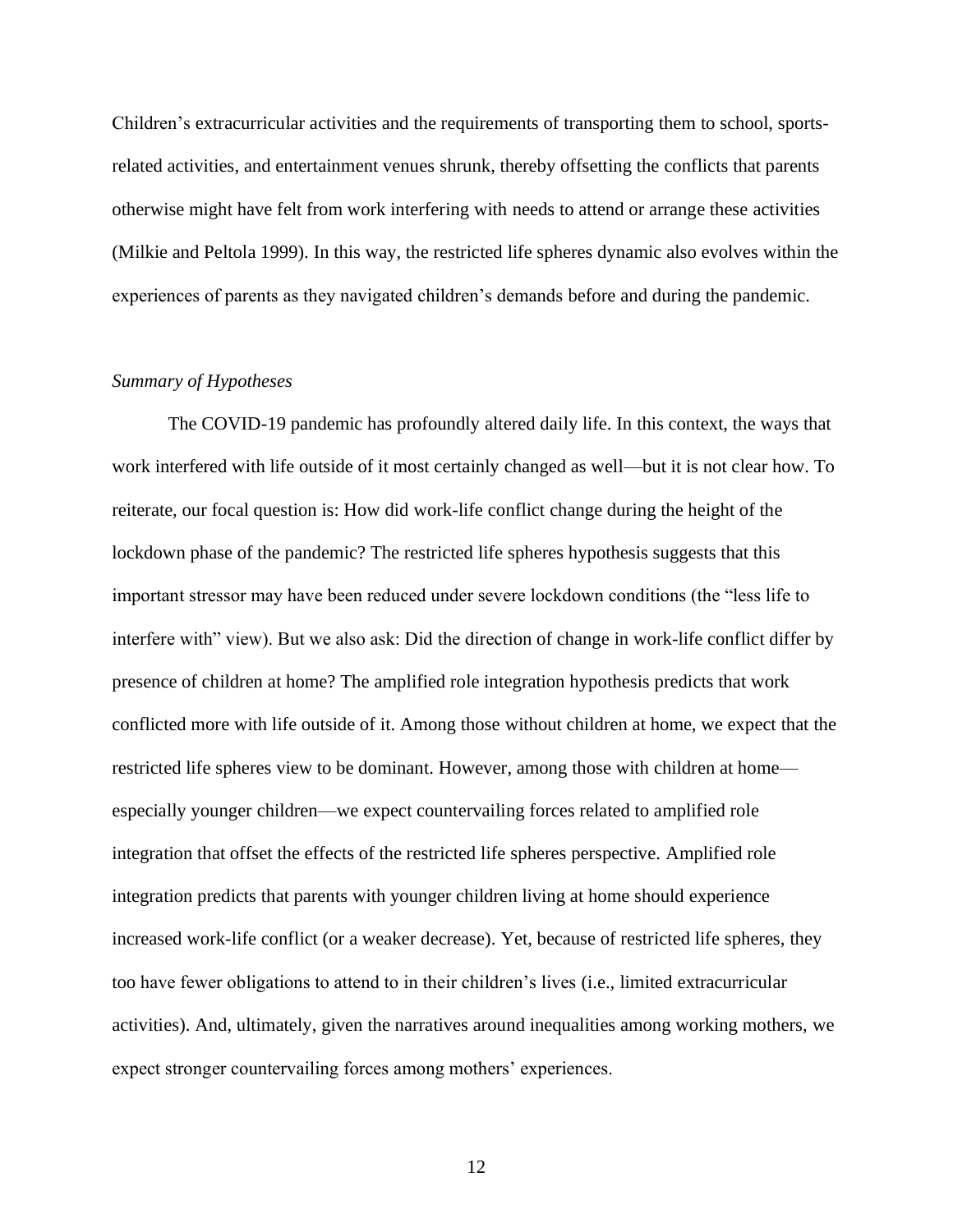Children's extracurricular activities and the requirements of transporting them to school, sportsrelated activities, and entertainment venues shrunk, thereby offsetting the conflicts that parents otherwise might have felt from work interfering with needs to attend or arrange these activities (Milkie and Peltola 1999). In this way, the restricted life spheres dynamic also evolves within the experiences of parents as they navigated children's demands before and during the pandemic.

## *Summary of Hypotheses*

The COVID-19 pandemic has profoundly altered daily life. In this context, the ways that work interfered with life outside of it most certainly changed as well—but it is not clear how. To reiterate, our focal question is: How did work-life conflict change during the height of the lockdown phase of the pandemic? The restricted life spheres hypothesis suggests that this important stressor may have been reduced under severe lockdown conditions (the "less life to interfere with" view). But we also ask: Did the direction of change in work-life conflict differ by presence of children at home? The amplified role integration hypothesis predicts that work conflicted more with life outside of it. Among those without children at home, we expect that the restricted life spheres view to be dominant. However, among those with children at home especially younger children—we expect countervailing forces related to amplified role integration that offset the effects of the restricted life spheres perspective. Amplified role integration predicts that parents with younger children living at home should experience increased work-life conflict (or a weaker decrease). Yet, because of restricted life spheres, they too have fewer obligations to attend to in their children's lives (i.e., limited extracurricular activities). And, ultimately, given the narratives around inequalities among working mothers, we expect stronger countervailing forces among mothers' experiences.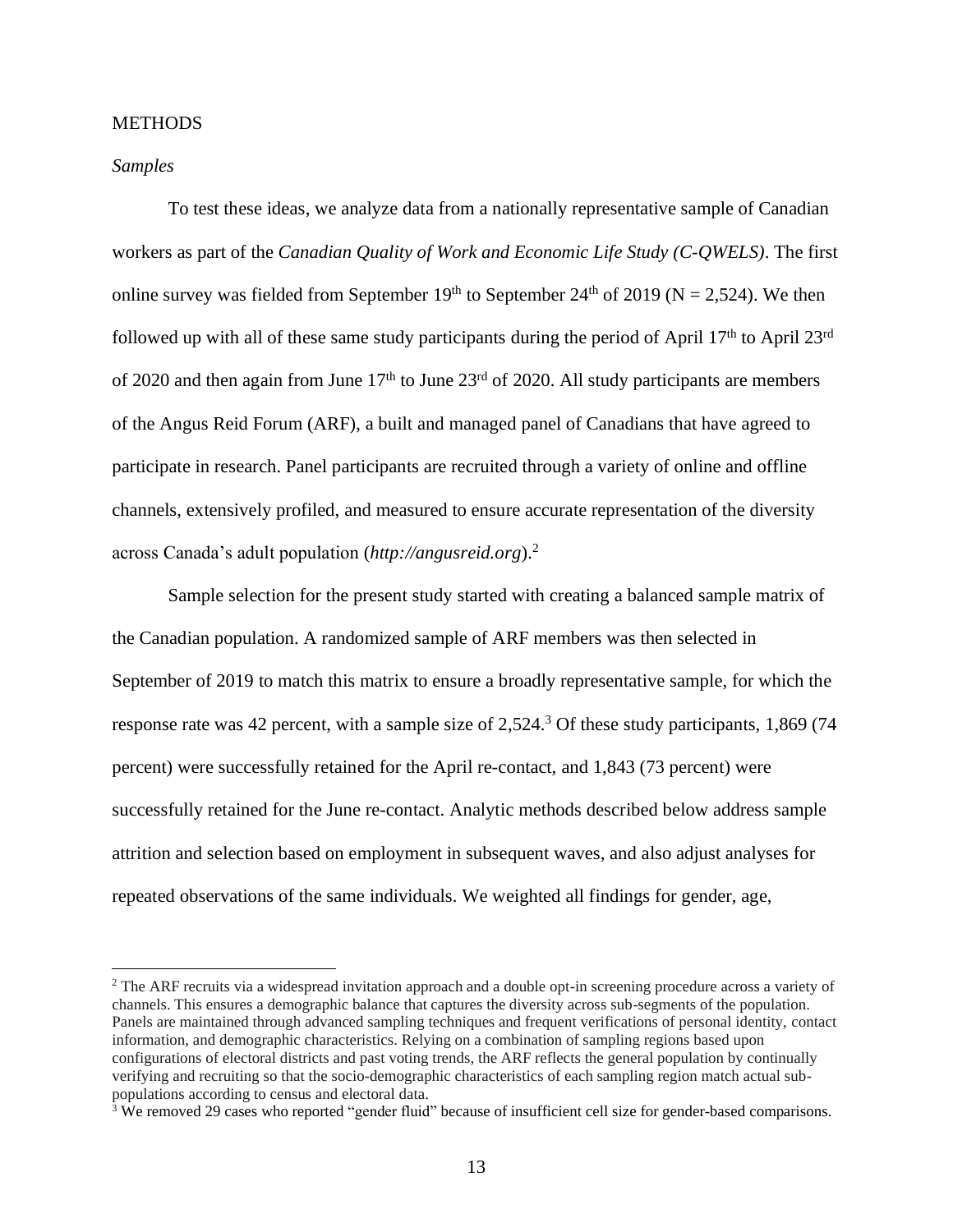## **METHODS**

#### *Samples*

To test these ideas, we analyze data from a nationally representative sample of Canadian workers as part of the *Canadian Quality of Work and Economic Life Study (C-QWELS)*. The first online survey was fielded from September  $19<sup>th</sup>$  to September  $24<sup>th</sup>$  of 2019 (N = 2,524). We then followed up with all of these same study participants during the period of April  $17<sup>th</sup>$  to April  $23<sup>rd</sup>$ of 2020 and then again from June  $17<sup>th</sup>$  to June  $23<sup>rd</sup>$  of 2020. All study participants are members of the Angus Reid Forum (ARF), a built and managed panel of Canadians that have agreed to participate in research. Panel participants are recruited through a variety of online and offline channels, extensively profiled, and measured to ensure accurate representation of the diversity across Canada's adult population (*http://angusreid.org*).<sup>2</sup>

Sample selection for the present study started with creating a balanced sample matrix of the Canadian population. A randomized sample of ARF members was then selected in September of 2019 to match this matrix to ensure a broadly representative sample, for which the response rate was 42 percent, with a sample size of 2,524.<sup>3</sup> Of these study participants, 1,869 (74 percent) were successfully retained for the April re-contact, and 1,843 (73 percent) were successfully retained for the June re-contact. Analytic methods described below address sample attrition and selection based on employment in subsequent waves, and also adjust analyses for repeated observations of the same individuals. We weighted all findings for gender, age,

<sup>&</sup>lt;sup>2</sup> The ARF recruits via a widespread invitation approach and a double opt-in screening procedure across a variety of channels. This ensures a demographic balance that captures the diversity across sub-segments of the population. Panels are maintained through advanced sampling techniques and frequent verifications of personal identity, contact information, and demographic characteristics. Relying on a combination of sampling regions based upon configurations of electoral districts and past voting trends, the ARF reflects the general population by continually verifying and recruiting so that the socio-demographic characteristics of each sampling region match actual subpopulations according to census and electoral data.

 $3$  We removed 29 cases who reported "gender fluid" because of insufficient cell size for gender-based comparisons.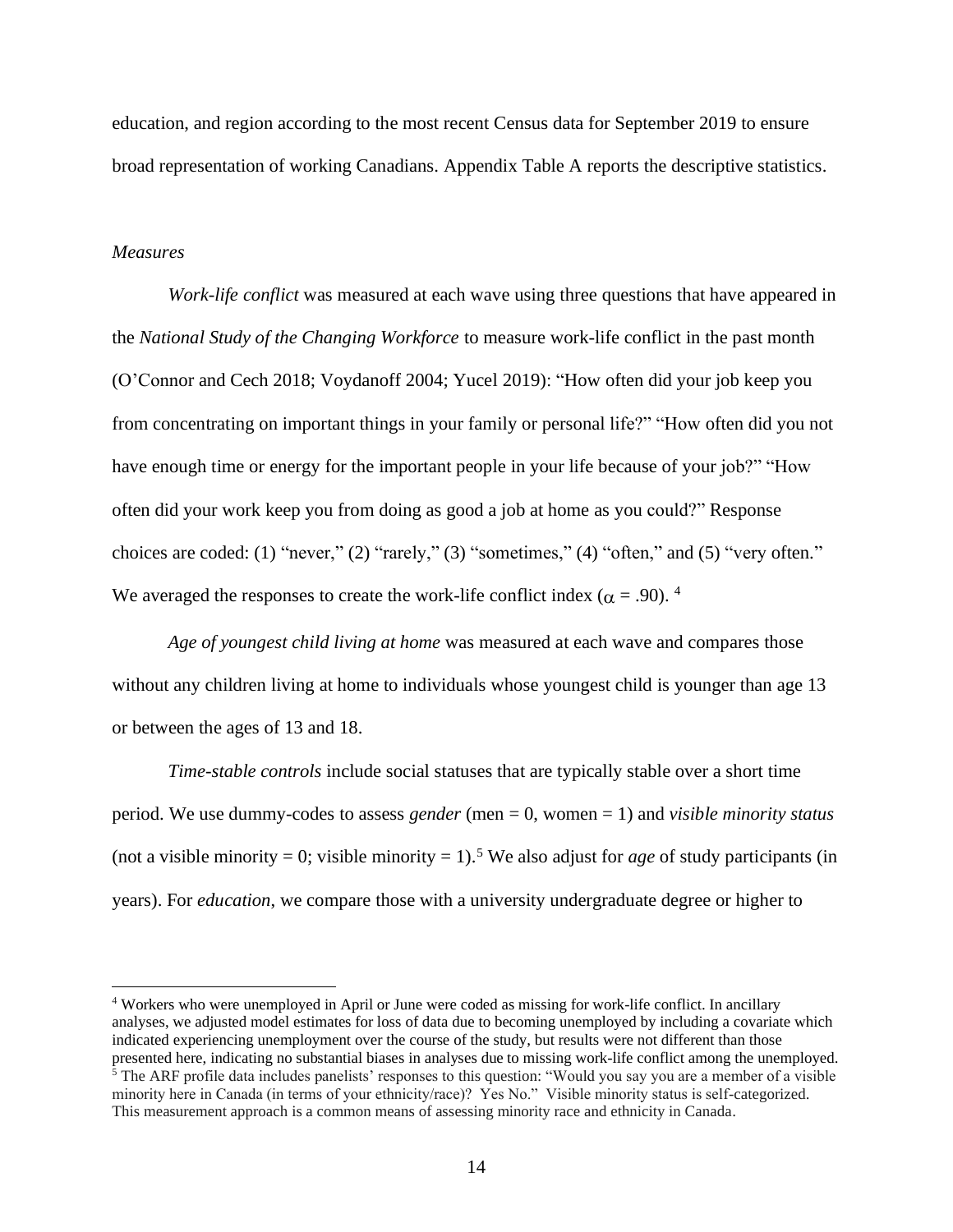education, and region according to the most recent Census data for September 2019 to ensure broad representation of working Canadians. Appendix Table A reports the descriptive statistics.

#### *Measures*

*Work-life conflict* was measured at each wave using three questions that have appeared in the *National Study of the Changing Workforce* to measure work-life conflict in the past month (O'Connor and Cech 2018; Voydanoff 2004; Yucel 2019): "How often did your job keep you from concentrating on important things in your family or personal life?" "How often did you not have enough time or energy for the important people in your life because of your job?" "How often did your work keep you from doing as good a job at home as you could?" Response choices are coded: (1) "never," (2) "rarely," (3) "sometimes," (4) "often," and (5) "very often." We averaged the responses to create the work-life conflict index ( $\alpha$  = .90). <sup>4</sup>

*Age of youngest child living at home* was measured at each wave and compares those without any children living at home to individuals whose youngest child is younger than age 13 or between the ages of 13 and 18.

*Time-stable controls* include social statuses that are typically stable over a short time period. We use dummy-codes to assess *gender* (men = 0, women = 1) and *visible minority status* (not a visible minority = 0; visible minority = 1).<sup>5</sup> We also adjust for *age* of study participants (in years). For *education*, we compare those with a university undergraduate degree or higher to

<sup>4</sup> Workers who were unemployed in April or June were coded as missing for work-life conflict. In ancillary analyses, we adjusted model estimates for loss of data due to becoming unemployed by including a covariate which indicated experiencing unemployment over the course of the study, but results were not different than those presented here, indicating no substantial biases in analyses due to missing work-life conflict among the unemployed. <sup>5</sup> The ARF profile data includes panelists' responses to this question: "Would you say you are a member of a visible minority here in Canada (in terms of your ethnicity/race)? Yes No." Visible minority status is self-categorized.

This measurement approach is a common means of assessing minority race and ethnicity in Canada.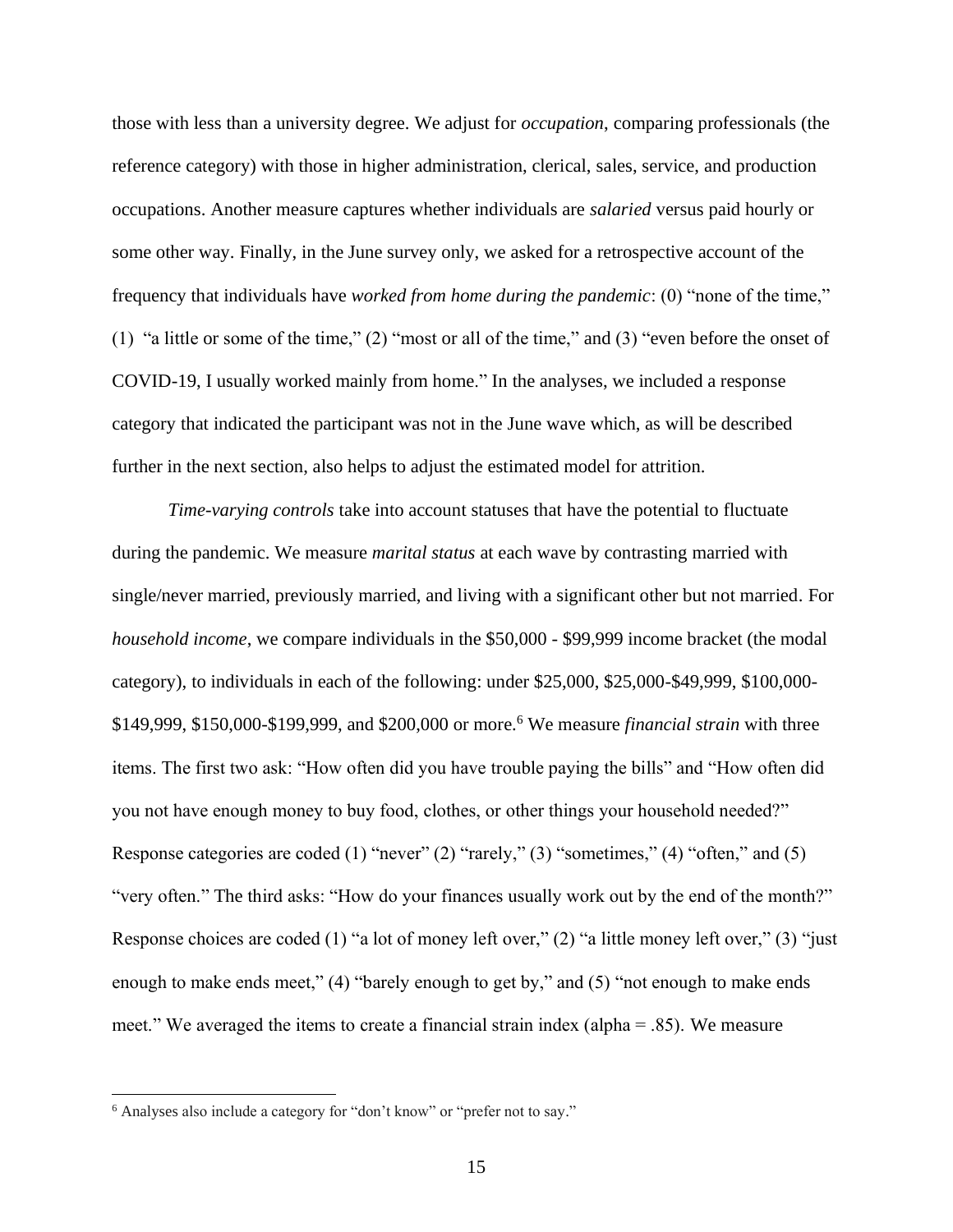those with less than a university degree. We adjust for *occupation*, comparing professionals (the reference category) with those in higher administration, clerical, sales, service, and production occupations. Another measure captures whether individuals are *salaried* versus paid hourly or some other way. Finally, in the June survey only, we asked for a retrospective account of the frequency that individuals have *worked from home during the pandemic*: (0) "none of the time," (1) "a little or some of the time," (2) "most or all of the time," and (3) "even before the onset of COVID-19, I usually worked mainly from home." In the analyses, we included a response category that indicated the participant was not in the June wave which, as will be described further in the next section, also helps to adjust the estimated model for attrition.

*Time-varying controls* take into account statuses that have the potential to fluctuate during the pandemic. We measure *marital status* at each wave by contrasting married with single/never married, previously married, and living with a significant other but not married. For *household income*, we compare individuals in the \$50,000 - \$99,999 income bracket (the modal category), to individuals in each of the following: under \$25,000, \$25,000-\$49,999, \$100,000- \$149,999, \$150,000-\$199,999, and \$200,000 or more.<sup>6</sup> We measure *financial strain* with three items. The first two ask: "How often did you have trouble paying the bills" and "How often did you not have enough money to buy food, clothes, or other things your household needed?" Response categories are coded (1) "never" (2) "rarely," (3) "sometimes," (4) "often," and (5) "very often." The third asks: "How do your finances usually work out by the end of the month?" Response choices are coded (1) "a lot of money left over," (2) "a little money left over," (3) "just enough to make ends meet," (4) "barely enough to get by," and (5) "not enough to make ends meet." We averaged the items to create a financial strain index (alpha = .85). We measure

<sup>&</sup>lt;sup>6</sup> Analyses also include a category for "don't know" or "prefer not to say."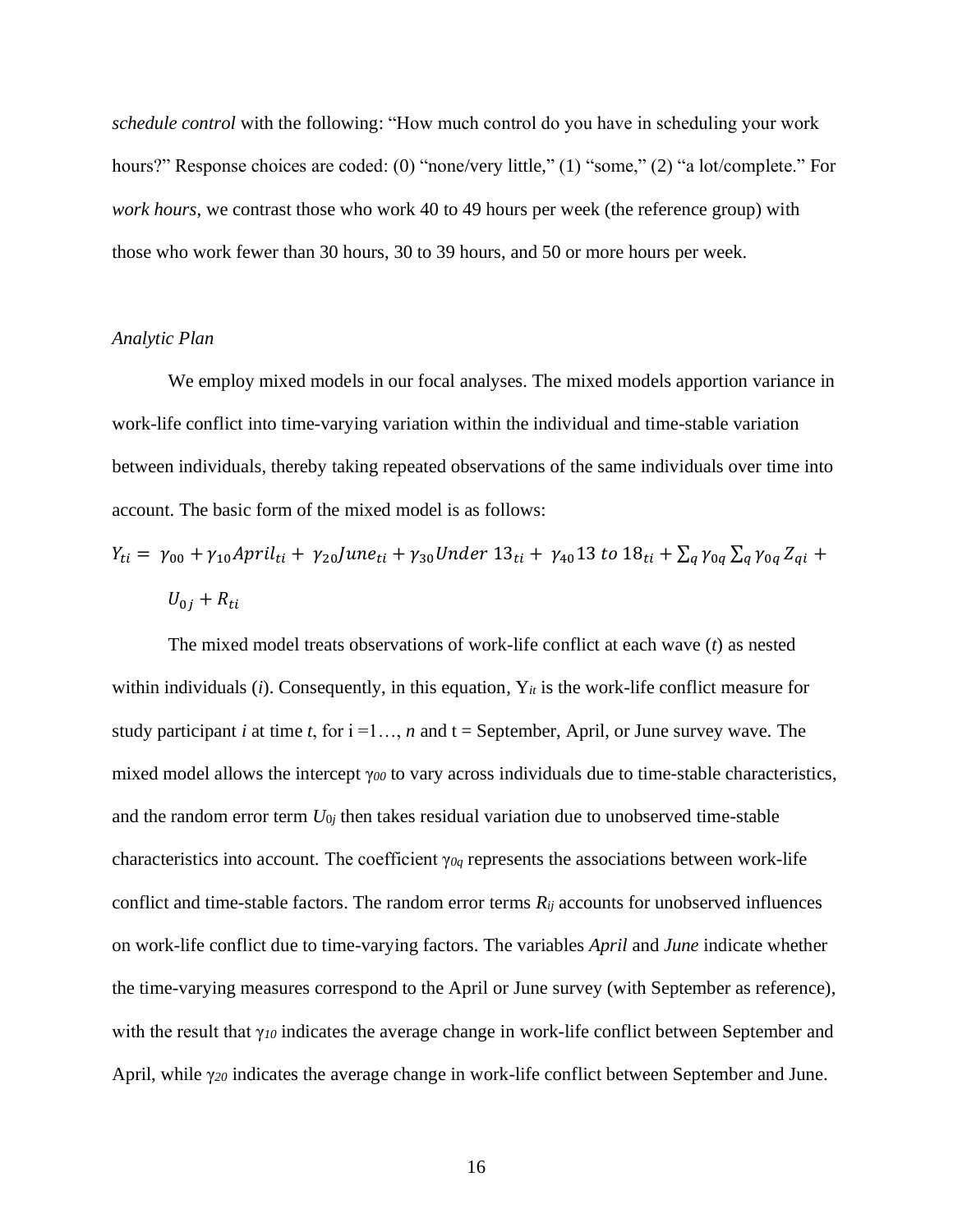*schedule control* with the following: "How much control do you have in scheduling your work hours?" Response choices are coded: (0) "none/very little," (1) "some," (2) "a lot/complete." For *work hours*, we contrast those who work 40 to 49 hours per week (the reference group) with those who work fewer than 30 hours, 30 to 39 hours, and 50 or more hours per week.

## *Analytic Plan*

We employ mixed models in our focal analyses. The mixed models apportion variance in work-life conflict into time-varying variation within the individual and time-stable variation between individuals, thereby taking repeated observations of the same individuals over time into account. The basic form of the mixed model is as follows:

$$
Y_{ti} = \gamma_{00} + \gamma_{10} A pril_{ti} + \gamma_{20} June_{ti} + \gamma_{30} Under 13_{ti} + \gamma_{40} 13 to 18_{ti} + \sum_{q} \gamma_{0q} \sum_{q} \gamma_{0q} Z_{qi} + U_{0j} + R_{ti}
$$

The mixed model treats observations of work-life conflict at each wave (*t*) as nested within individuals (*i*). Consequently, in this equation, Y*it* is the work-life conflict measure for study participant *i* at time *t*, for  $i = 1 \ldots, n$  and  $t =$  September, April, or June survey wave. The mixed model allows the intercept γ*<sup>00</sup>* to vary across individuals due to time-stable characteristics, and the random error term  $U_{0j}$  then takes residual variation due to unobserved time-stable characteristics into account. The coefficient γ*0q* represents the associations between work-life conflict and time-stable factors. The random error terms *Rij* accounts for unobserved influences on work-life conflict due to time-varying factors. The variables *April* and *June* indicate whether the time-varying measures correspond to the April or June survey (with September as reference), with the result that γ*<sup>10</sup>* indicates the average change in work-life conflict between September and April, while γ*<sup>20</sup>* indicates the average change in work-life conflict between September and June.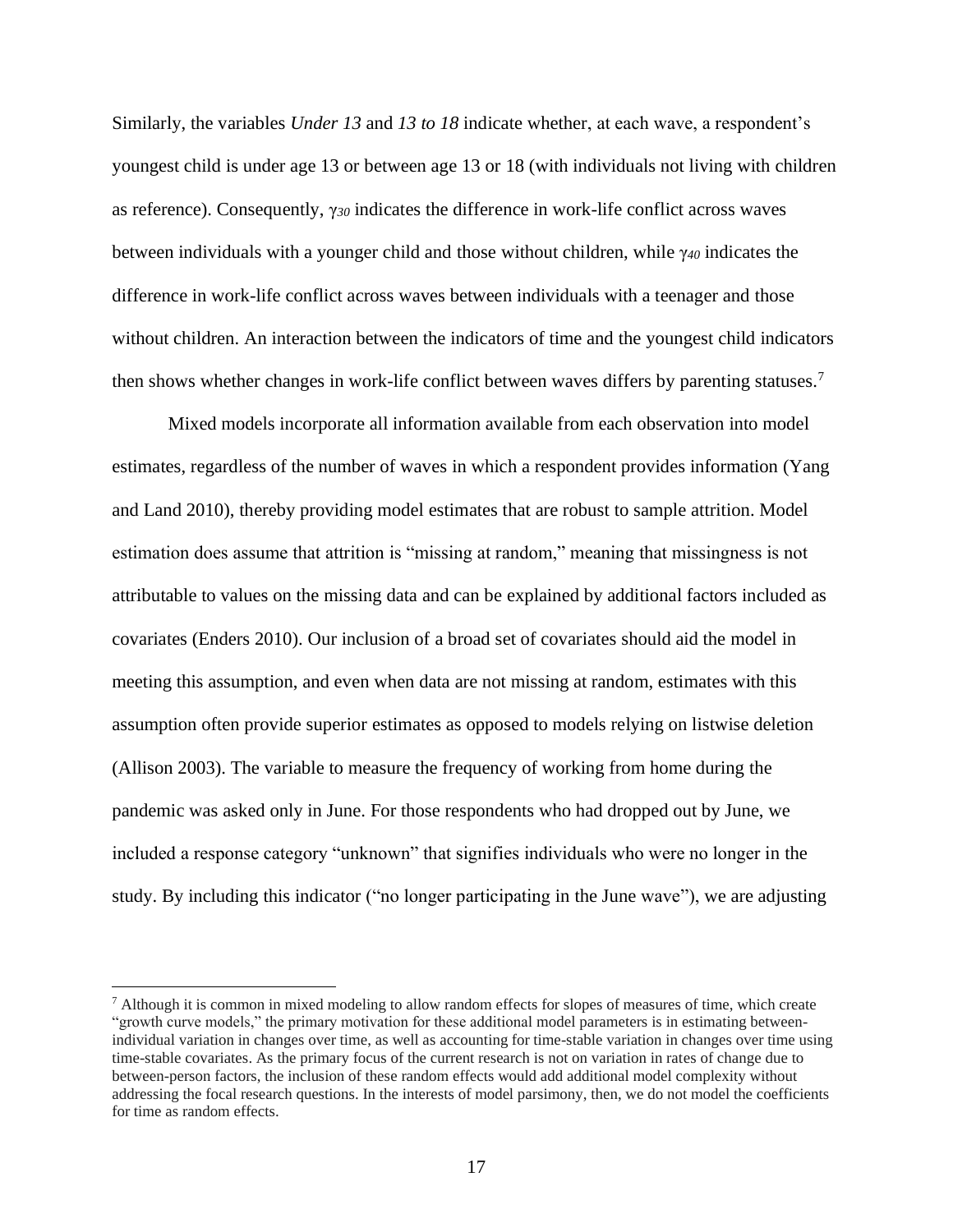Similarly, the variables *Under 13* and *13 to 18* indicate whether, at each wave, a respondent's youngest child is under age 13 or between age 13 or 18 (with individuals not living with children as reference). Consequently, γ*<sup>30</sup>* indicates the difference in work-life conflict across waves between individuals with a younger child and those without children, while γ*<sup>40</sup>* indicates the difference in work-life conflict across waves between individuals with a teenager and those without children. An interaction between the indicators of time and the youngest child indicators then shows whether changes in work-life conflict between waves differs by parenting statuses.<sup>7</sup>

Mixed models incorporate all information available from each observation into model estimates, regardless of the number of waves in which a respondent provides information (Yang and Land 2010), thereby providing model estimates that are robust to sample attrition. Model estimation does assume that attrition is "missing at random," meaning that missingness is not attributable to values on the missing data and can be explained by additional factors included as covariates (Enders 2010). Our inclusion of a broad set of covariates should aid the model in meeting this assumption, and even when data are not missing at random, estimates with this assumption often provide superior estimates as opposed to models relying on listwise deletion (Allison 2003). The variable to measure the frequency of working from home during the pandemic was asked only in June. For those respondents who had dropped out by June, we included a response category "unknown" that signifies individuals who were no longer in the study. By including this indicator ("no longer participating in the June wave"), we are adjusting

 $^7$  Although it is common in mixed modeling to allow random effects for slopes of measures of time, which create "growth curve models," the primary motivation for these additional model parameters is in estimating betweenindividual variation in changes over time, as well as accounting for time-stable variation in changes over time using time-stable covariates. As the primary focus of the current research is not on variation in rates of change due to between-person factors, the inclusion of these random effects would add additional model complexity without addressing the focal research questions. In the interests of model parsimony, then, we do not model the coefficients for time as random effects.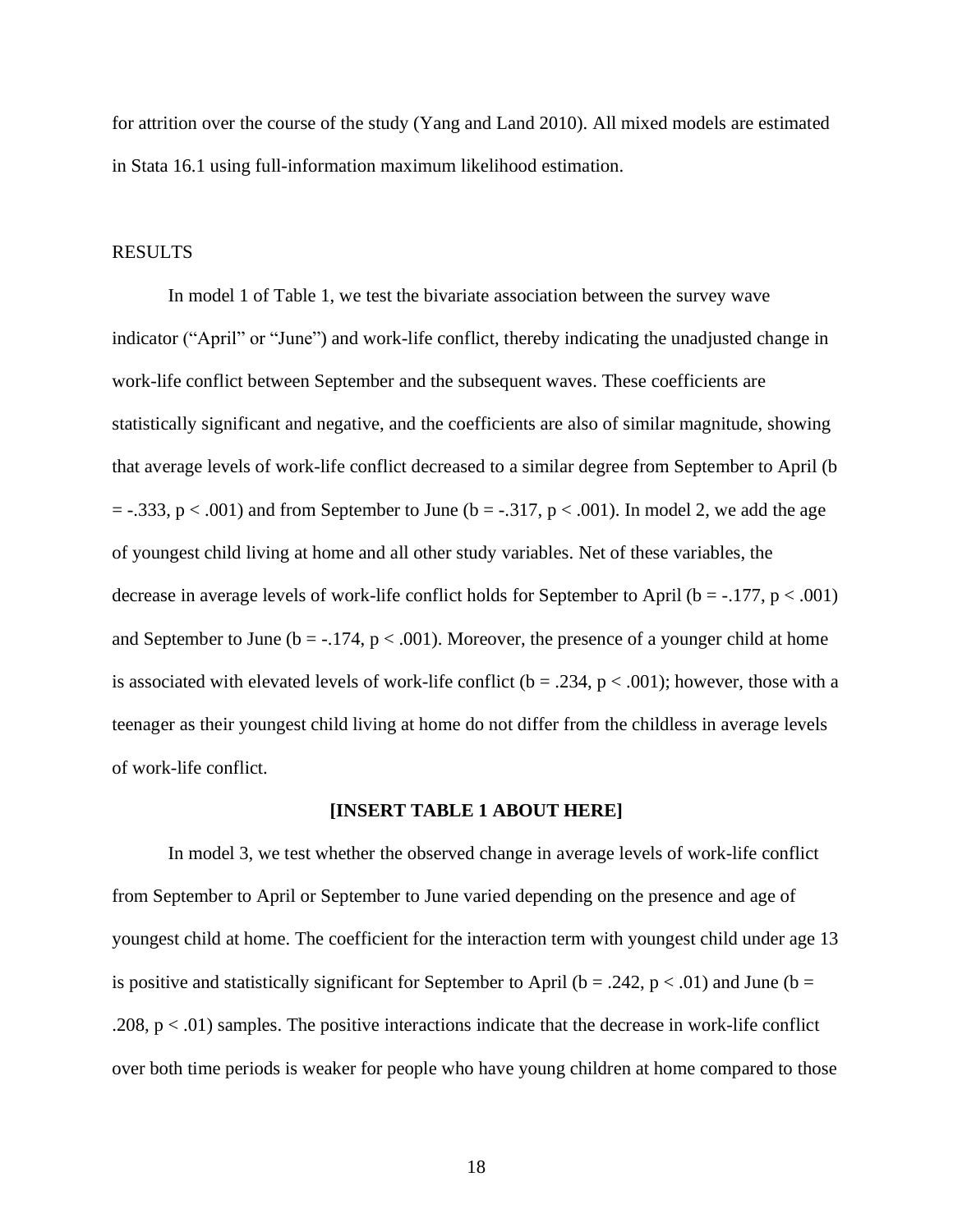for attrition over the course of the study (Yang and Land 2010). All mixed models are estimated in Stata 16.1 using full-information maximum likelihood estimation.

#### RESULTS

In model 1 of Table 1, we test the bivariate association between the survey wave indicator ("April" or "June") and work-life conflict, thereby indicating the unadjusted change in work-life conflict between September and the subsequent waves. These coefficients are statistically significant and negative, and the coefficients are also of similar magnitude, showing that average levels of work-life conflict decreased to a similar degree from September to April (b  $=$  -.333, p < .001) and from September to June (b = -.317, p < .001). In model 2, we add the age of youngest child living at home and all other study variables. Net of these variables, the decrease in average levels of work-life conflict holds for September to April ( $b = -177$ ,  $p < .001$ ) and September to June ( $b = -.174$ ,  $p < .001$ ). Moreover, the presence of a younger child at home is associated with elevated levels of work-life conflict ( $b = .234$ ,  $p < .001$ ); however, those with a teenager as their youngest child living at home do not differ from the childless in average levels of work-life conflict.

#### **[INSERT TABLE 1 ABOUT HERE]**

In model 3, we test whether the observed change in average levels of work-life conflict from September to April or September to June varied depending on the presence and age of youngest child at home. The coefficient for the interaction term with youngest child under age 13 is positive and statistically significant for September to April ( $b = .242$ ,  $p < .01$ ) and June ( $b =$ .208,  $p < .01$ ) samples. The positive interactions indicate that the decrease in work-life conflict over both time periods is weaker for people who have young children at home compared to those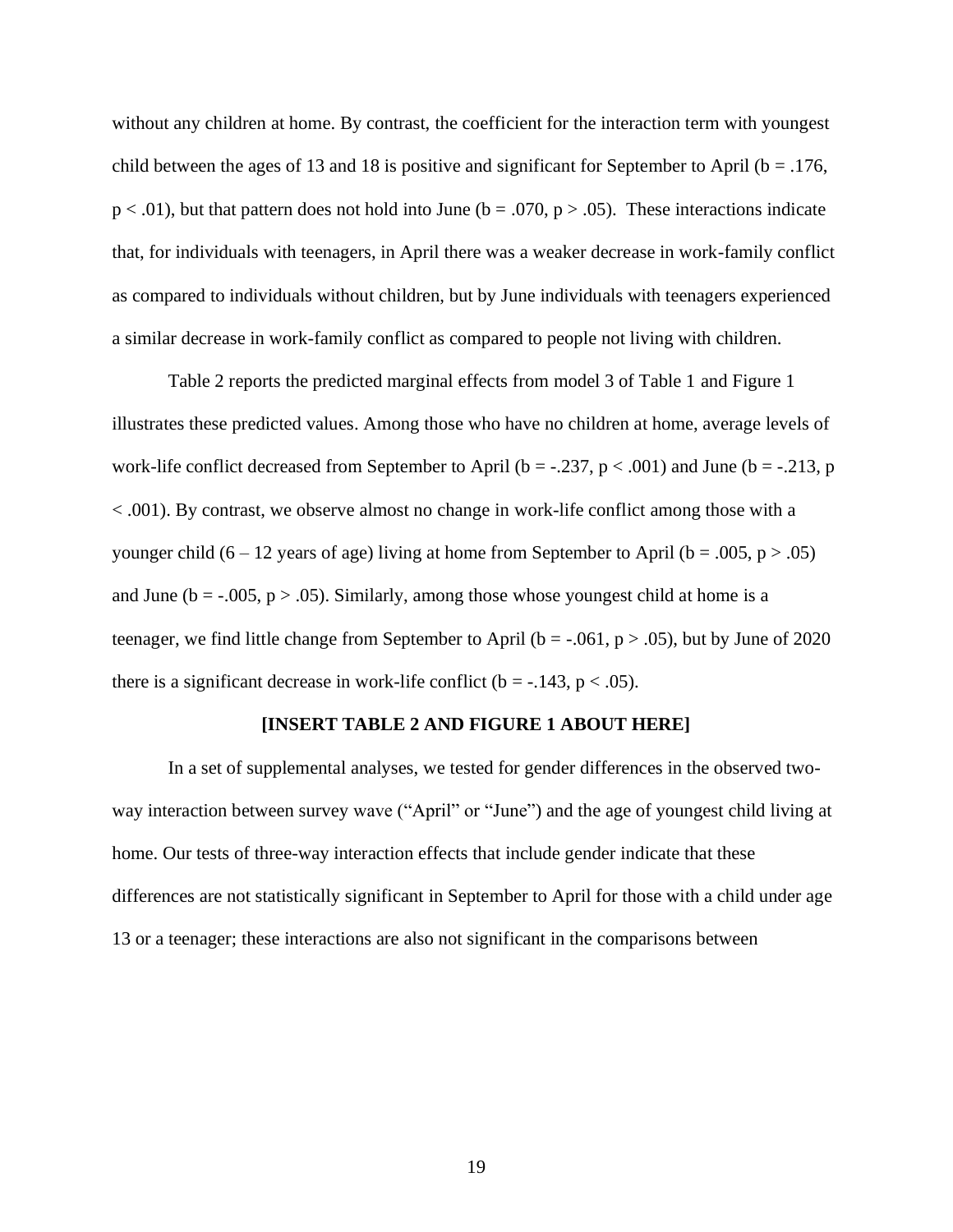without any children at home. By contrast, the coefficient for the interaction term with youngest child between the ages of 13 and 18 is positive and significant for September to April ( $b = .176$ ,  $p < .01$ ), but that pattern does not hold into June (b = .070,  $p > .05$ ). These interactions indicate that, for individuals with teenagers, in April there was a weaker decrease in work-family conflict as compared to individuals without children, but by June individuals with teenagers experienced a similar decrease in work-family conflict as compared to people not living with children.

Table 2 reports the predicted marginal effects from model 3 of Table 1 and Figure 1 illustrates these predicted values. Among those who have no children at home, average levels of work-life conflict decreased from September to April ( $b = -0.237$ ,  $p < 0.001$ ) and June ( $b = -0.213$ , p < .001). By contrast, we observe almost no change in work-life conflict among those with a younger child  $(6 - 12$  years of age) living at home from September to April  $(b = .005, p > .05)$ and June ( $b = -0.005$ ,  $p > 0.05$ ). Similarly, among those whose youngest child at home is a teenager, we find little change from September to April ( $b = -.061$ ,  $p > .05$ ), but by June of 2020 there is a significant decrease in work-life conflict ( $b = -0.143$ ,  $p < 0.05$ ).

#### **[INSERT TABLE 2 AND FIGURE 1 ABOUT HERE]**

In a set of supplemental analyses, we tested for gender differences in the observed twoway interaction between survey wave ("April" or "June") and the age of youngest child living at home. Our tests of three-way interaction effects that include gender indicate that these differences are not statistically significant in September to April for those with a child under age 13 or a teenager; these interactions are also not significant in the comparisons between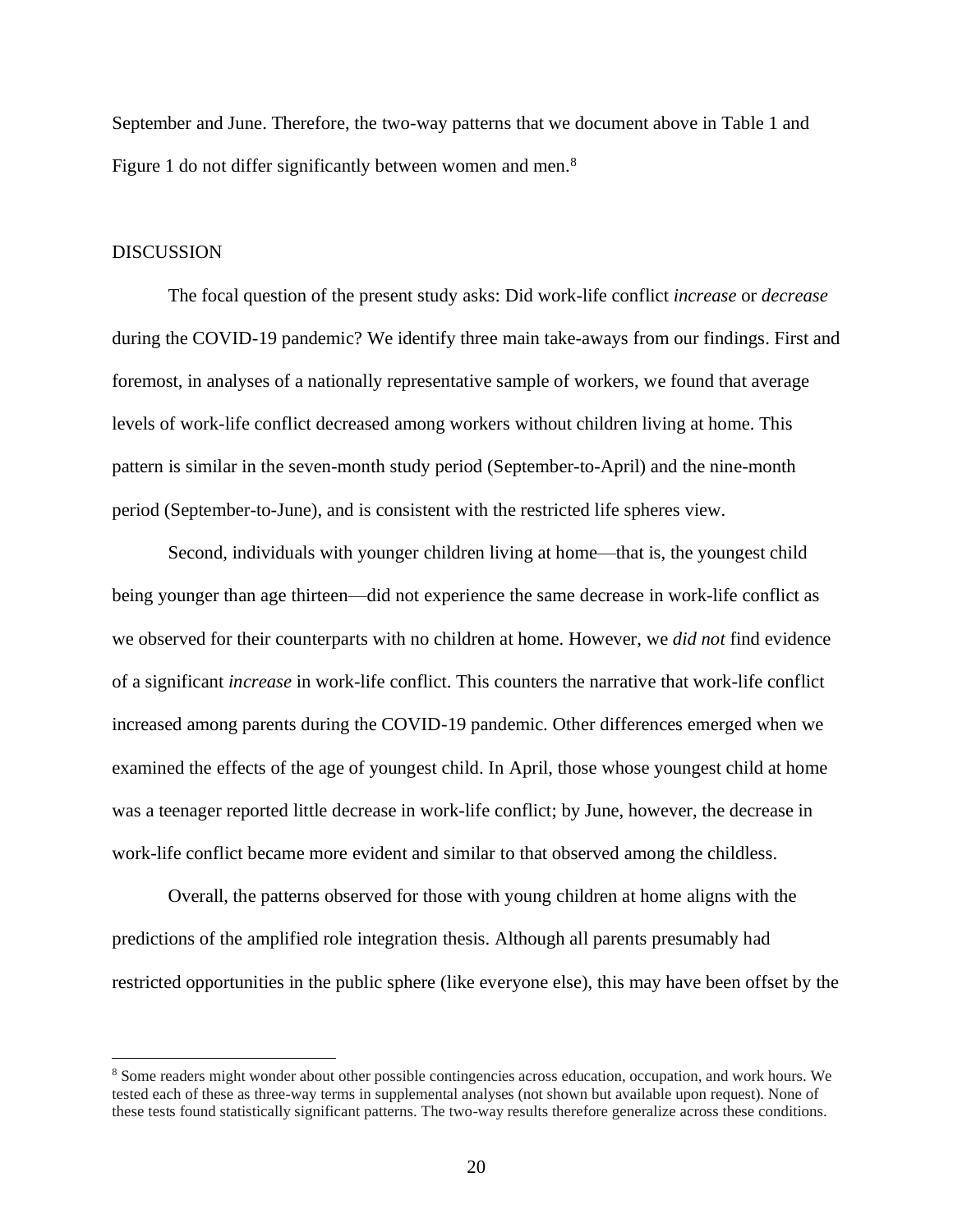September and June. Therefore, the two-way patterns that we document above in Table 1 and Figure 1 do not differ significantly between women and men.<sup>8</sup>

#### **DISCUSSION**

The focal question of the present study asks: Did work-life conflict *increase* or *decrease* during the COVID-19 pandemic? We identify three main take-aways from our findings. First and foremost, in analyses of a nationally representative sample of workers, we found that average levels of work-life conflict decreased among workers without children living at home. This pattern is similar in the seven-month study period (September-to-April) and the nine-month period (September-to-June), and is consistent with the restricted life spheres view.

Second, individuals with younger children living at home—that is, the youngest child being younger than age thirteen—did not experience the same decrease in work-life conflict as we observed for their counterparts with no children at home. However, we *did not* find evidence of a significant *increase* in work-life conflict. This counters the narrative that work-life conflict increased among parents during the COVID-19 pandemic. Other differences emerged when we examined the effects of the age of youngest child. In April, those whose youngest child at home was a teenager reported little decrease in work-life conflict; by June, however, the decrease in work-life conflict became more evident and similar to that observed among the childless.

Overall, the patterns observed for those with young children at home aligns with the predictions of the amplified role integration thesis. Although all parents presumably had restricted opportunities in the public sphere (like everyone else), this may have been offset by the

<sup>8</sup> Some readers might wonder about other possible contingencies across education, occupation, and work hours. We tested each of these as three-way terms in supplemental analyses (not shown but available upon request). None of these tests found statistically significant patterns. The two-way results therefore generalize across these conditions.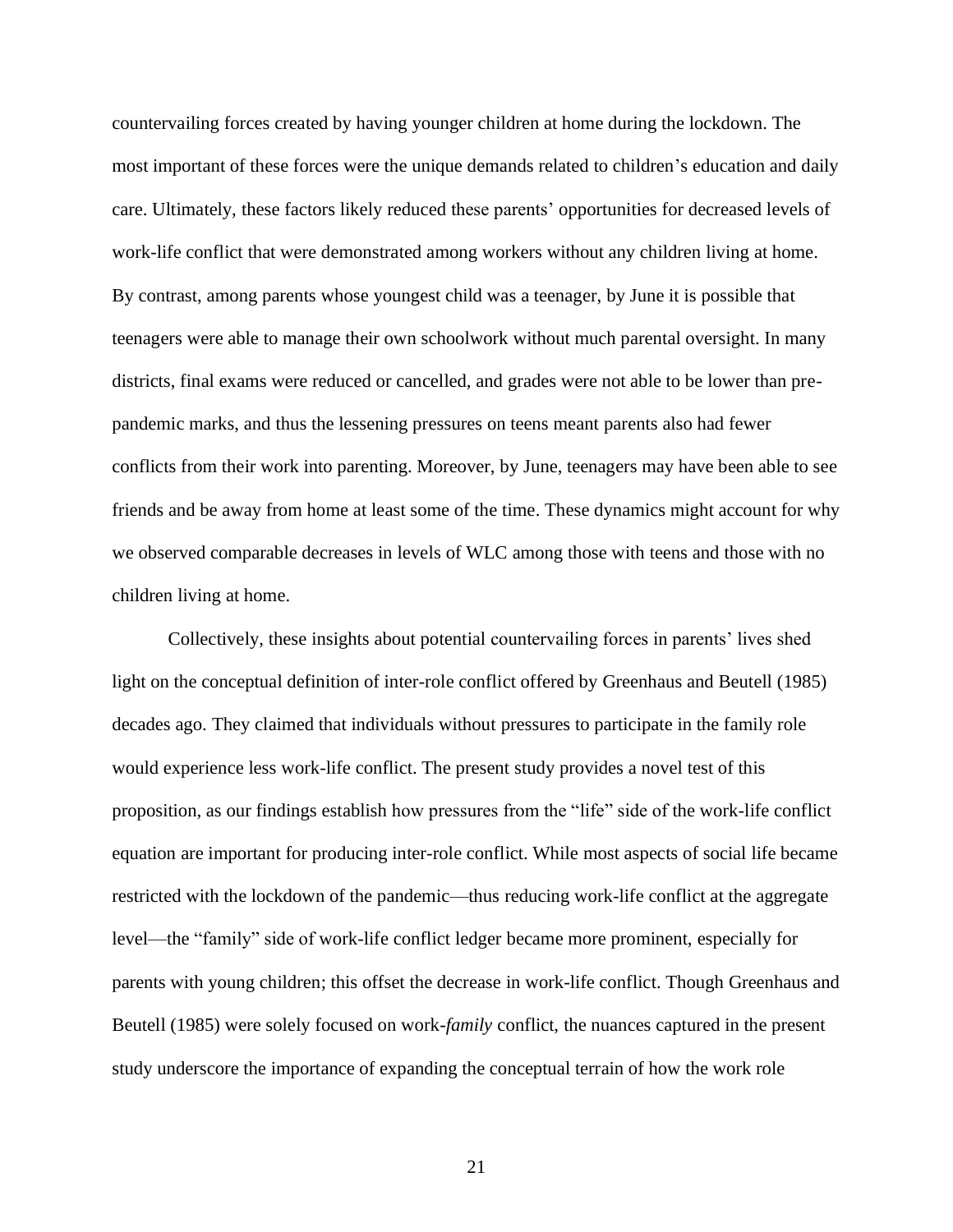countervailing forces created by having younger children at home during the lockdown. The most important of these forces were the unique demands related to children's education and daily care. Ultimately, these factors likely reduced these parents' opportunities for decreased levels of work-life conflict that were demonstrated among workers without any children living at home. By contrast, among parents whose youngest child was a teenager, by June it is possible that teenagers were able to manage their own schoolwork without much parental oversight. In many districts, final exams were reduced or cancelled, and grades were not able to be lower than prepandemic marks, and thus the lessening pressures on teens meant parents also had fewer conflicts from their work into parenting. Moreover, by June, teenagers may have been able to see friends and be away from home at least some of the time. These dynamics might account for why we observed comparable decreases in levels of WLC among those with teens and those with no children living at home.

Collectively, these insights about potential countervailing forces in parents' lives shed light on the conceptual definition of inter-role conflict offered by Greenhaus and Beutell (1985) decades ago. They claimed that individuals without pressures to participate in the family role would experience less work-life conflict. The present study provides a novel test of this proposition, as our findings establish how pressures from the "life" side of the work-life conflict equation are important for producing inter-role conflict. While most aspects of social life became restricted with the lockdown of the pandemic—thus reducing work-life conflict at the aggregate level—the "family" side of work-life conflict ledger became more prominent, especially for parents with young children; this offset the decrease in work-life conflict. Though Greenhaus and Beutell (1985) were solely focused on work-*family* conflict, the nuances captured in the present study underscore the importance of expanding the conceptual terrain of how the work role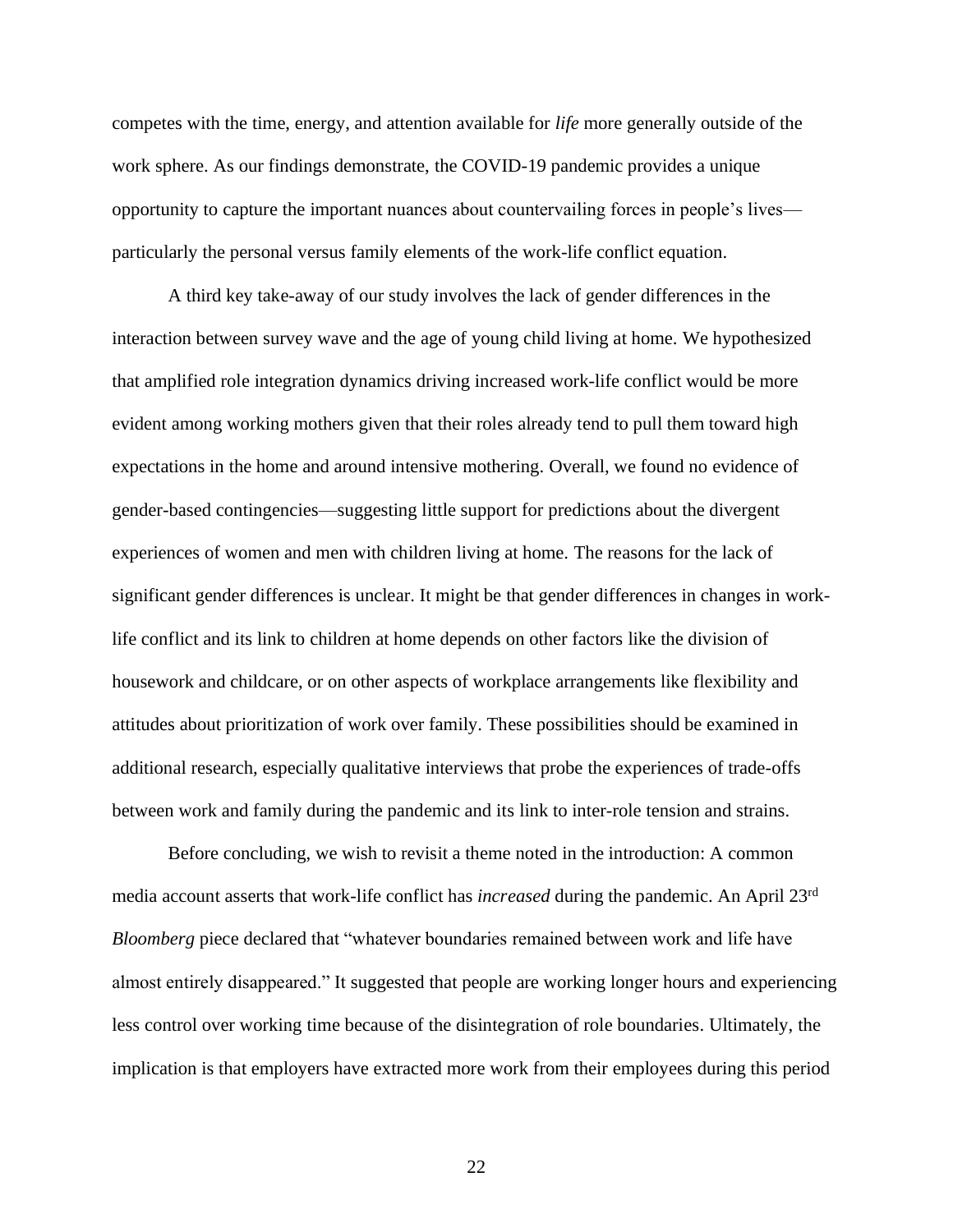competes with the time, energy, and attention available for *life* more generally outside of the work sphere. As our findings demonstrate, the COVID-19 pandemic provides a unique opportunity to capture the important nuances about countervailing forces in people's lives particularly the personal versus family elements of the work-life conflict equation.

A third key take-away of our study involves the lack of gender differences in the interaction between survey wave and the age of young child living at home. We hypothesized that amplified role integration dynamics driving increased work-life conflict would be more evident among working mothers given that their roles already tend to pull them toward high expectations in the home and around intensive mothering. Overall, we found no evidence of gender-based contingencies—suggesting little support for predictions about the divergent experiences of women and men with children living at home. The reasons for the lack of significant gender differences is unclear. It might be that gender differences in changes in worklife conflict and its link to children at home depends on other factors like the division of housework and childcare, or on other aspects of workplace arrangements like flexibility and attitudes about prioritization of work over family. These possibilities should be examined in additional research, especially qualitative interviews that probe the experiences of trade-offs between work and family during the pandemic and its link to inter-role tension and strains.

Before concluding, we wish to revisit a theme noted in the introduction: A common media account asserts that work-life conflict has *increased* during the pandemic. An April 23rd *Bloomberg* piece declared that "whatever boundaries remained between work and life have almost entirely disappeared." It suggested that people are working longer hours and experiencing less control over working time because of the disintegration of role boundaries. Ultimately, the implication is that employers have extracted more work from their employees during this period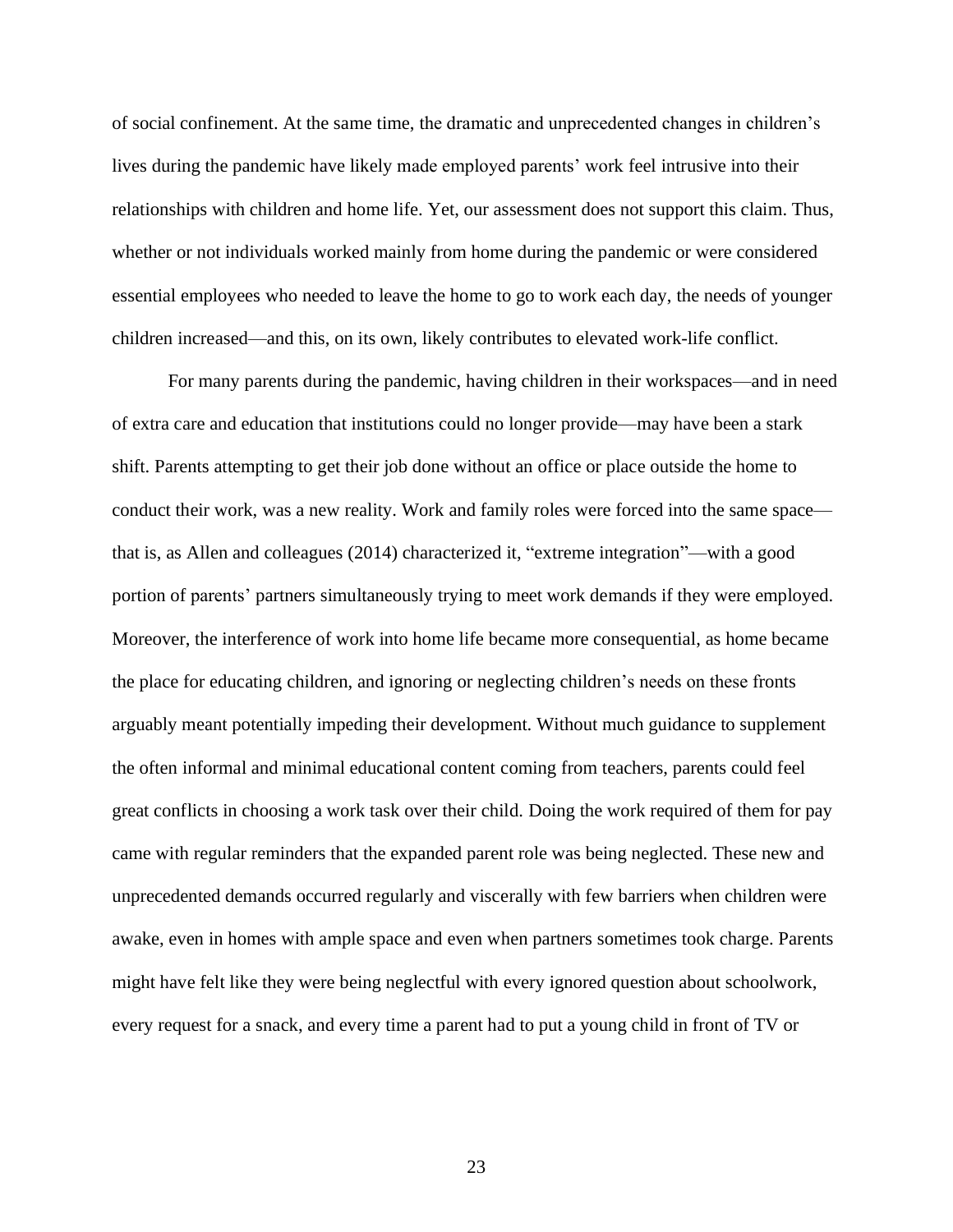of social confinement. At the same time, the dramatic and unprecedented changes in children's lives during the pandemic have likely made employed parents' work feel intrusive into their relationships with children and home life. Yet, our assessment does not support this claim. Thus, whether or not individuals worked mainly from home during the pandemic or were considered essential employees who needed to leave the home to go to work each day, the needs of younger children increased—and this, on its own, likely contributes to elevated work-life conflict.

For many parents during the pandemic, having children in their workspaces—and in need of extra care and education that institutions could no longer provide—may have been a stark shift. Parents attempting to get their job done without an office or place outside the home to conduct their work, was a new reality. Work and family roles were forced into the same space that is, as Allen and colleagues (2014) characterized it, "extreme integration"—with a good portion of parents' partners simultaneously trying to meet work demands if they were employed. Moreover, the interference of work into home life became more consequential, as home became the place for educating children, and ignoring or neglecting children's needs on these fronts arguably meant potentially impeding their development. Without much guidance to supplement the often informal and minimal educational content coming from teachers, parents could feel great conflicts in choosing a work task over their child. Doing the work required of them for pay came with regular reminders that the expanded parent role was being neglected. These new and unprecedented demands occurred regularly and viscerally with few barriers when children were awake, even in homes with ample space and even when partners sometimes took charge. Parents might have felt like they were being neglectful with every ignored question about schoolwork, every request for a snack, and every time a parent had to put a young child in front of TV or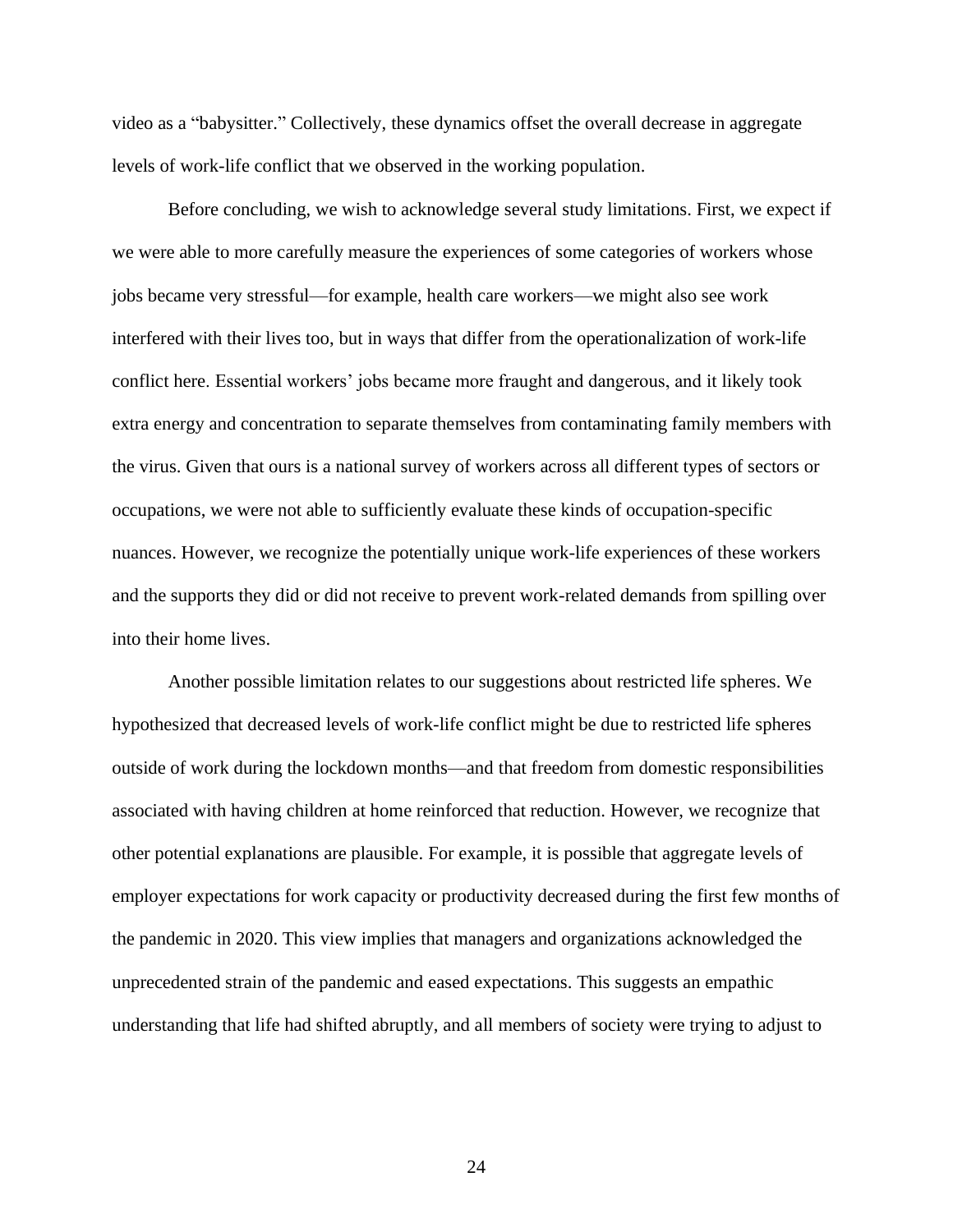video as a "babysitter." Collectively, these dynamics offset the overall decrease in aggregate levels of work-life conflict that we observed in the working population.

Before concluding, we wish to acknowledge several study limitations. First, we expect if we were able to more carefully measure the experiences of some categories of workers whose jobs became very stressful—for example, health care workers—we might also see work interfered with their lives too, but in ways that differ from the operationalization of work-life conflict here. Essential workers' jobs became more fraught and dangerous, and it likely took extra energy and concentration to separate themselves from contaminating family members with the virus. Given that ours is a national survey of workers across all different types of sectors or occupations, we were not able to sufficiently evaluate these kinds of occupation-specific nuances. However, we recognize the potentially unique work-life experiences of these workers and the supports they did or did not receive to prevent work-related demands from spilling over into their home lives.

Another possible limitation relates to our suggestions about restricted life spheres. We hypothesized that decreased levels of work-life conflict might be due to restricted life spheres outside of work during the lockdown months—and that freedom from domestic responsibilities associated with having children at home reinforced that reduction. However, we recognize that other potential explanations are plausible. For example, it is possible that aggregate levels of employer expectations for work capacity or productivity decreased during the first few months of the pandemic in 2020. This view implies that managers and organizations acknowledged the unprecedented strain of the pandemic and eased expectations. This suggests an empathic understanding that life had shifted abruptly, and all members of society were trying to adjust to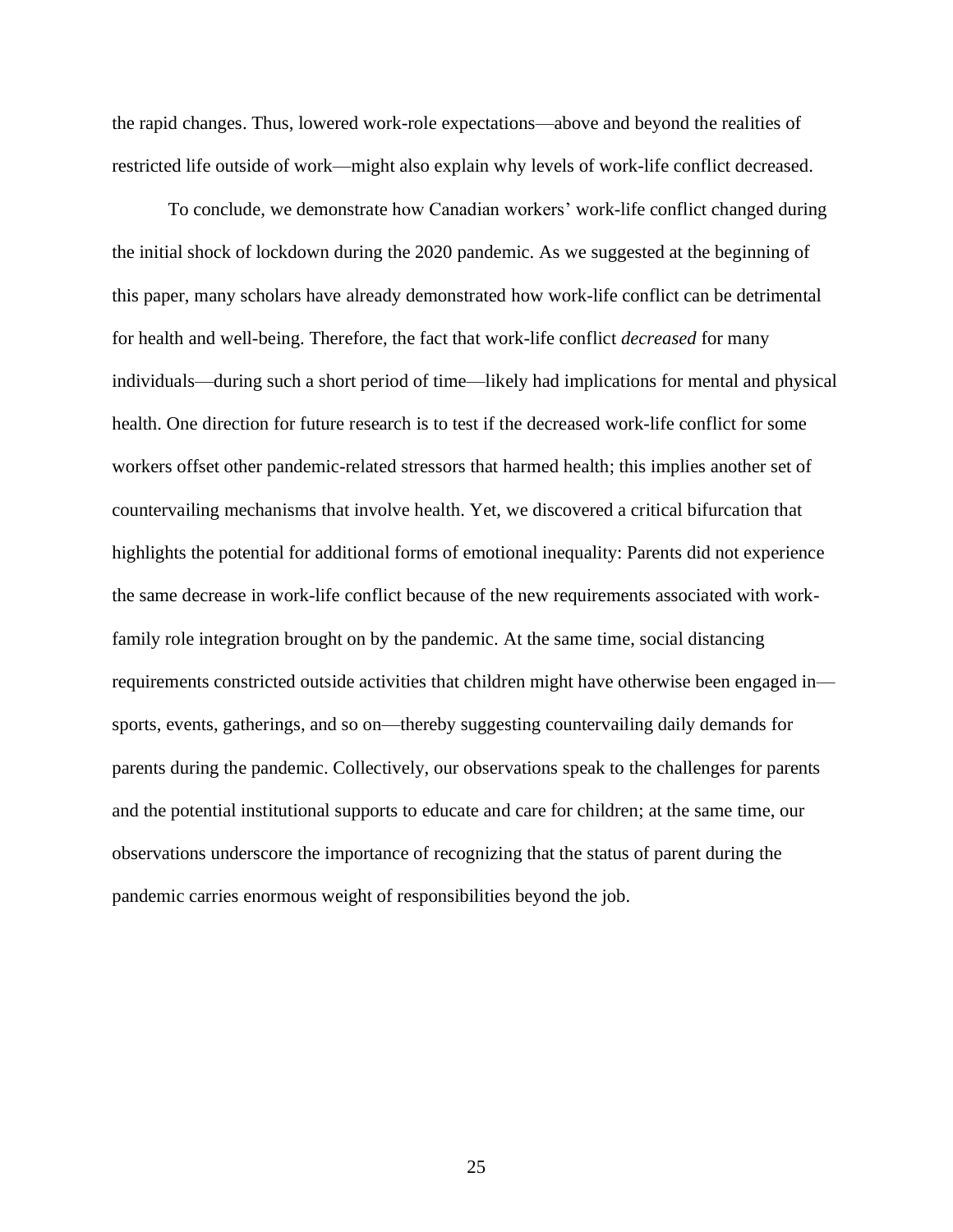the rapid changes. Thus, lowered work-role expectations—above and beyond the realities of restricted life outside of work—might also explain why levels of work-life conflict decreased.

To conclude, we demonstrate how Canadian workers' work-life conflict changed during the initial shock of lockdown during the 2020 pandemic. As we suggested at the beginning of this paper, many scholars have already demonstrated how work-life conflict can be detrimental for health and well-being. Therefore, the fact that work-life conflict *decreased* for many individuals—during such a short period of time—likely had implications for mental and physical health. One direction for future research is to test if the decreased work-life conflict for some workers offset other pandemic-related stressors that harmed health; this implies another set of countervailing mechanisms that involve health. Yet, we discovered a critical bifurcation that highlights the potential for additional forms of emotional inequality: Parents did not experience the same decrease in work-life conflict because of the new requirements associated with workfamily role integration brought on by the pandemic. At the same time, social distancing requirements constricted outside activities that children might have otherwise been engaged in sports, events, gatherings, and so on—thereby suggesting countervailing daily demands for parents during the pandemic. Collectively, our observations speak to the challenges for parents and the potential institutional supports to educate and care for children; at the same time, our observations underscore the importance of recognizing that the status of parent during the pandemic carries enormous weight of responsibilities beyond the job.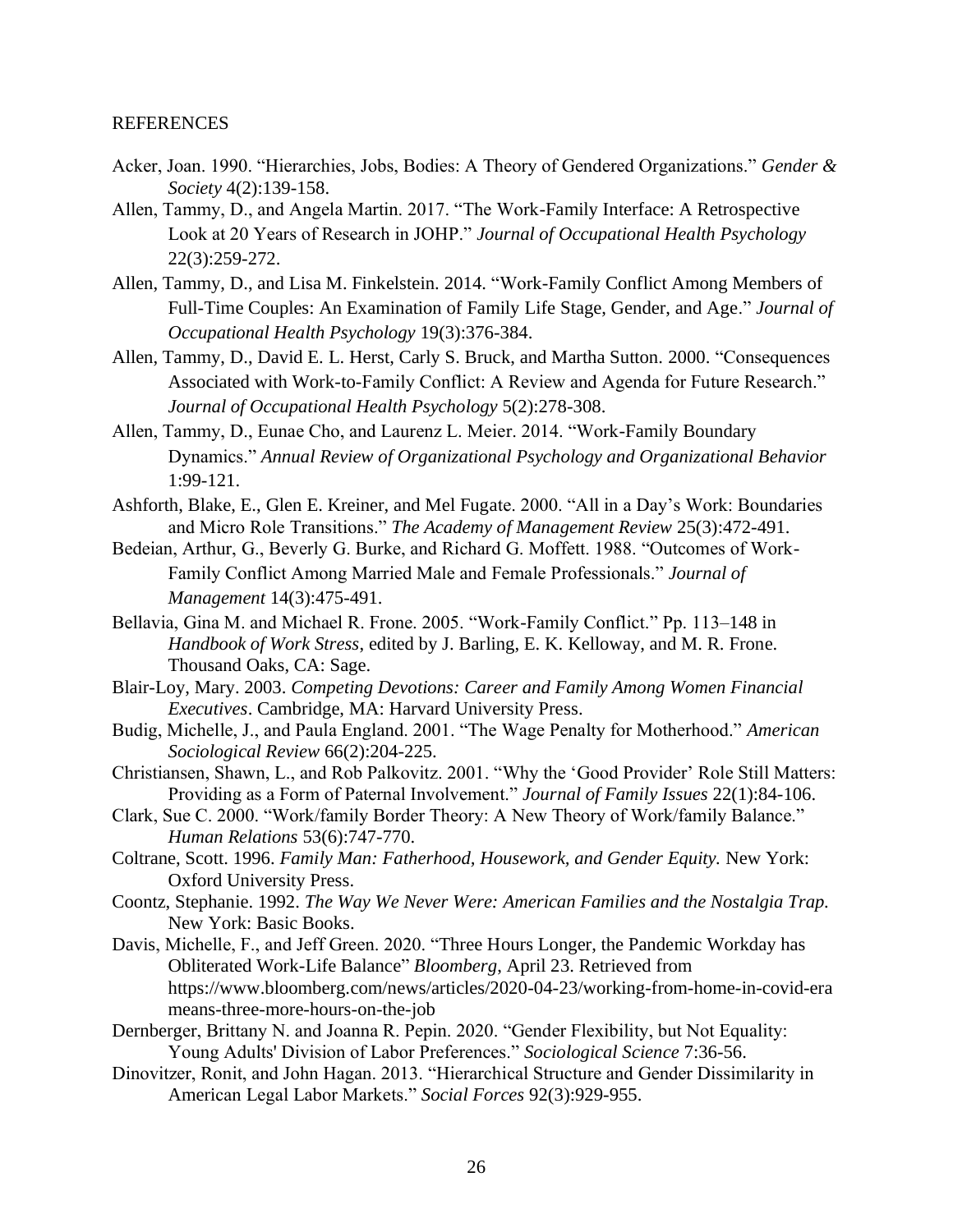#### REFERENCES

- Acker, Joan. 1990. "Hierarchies, Jobs, Bodies: A Theory of Gendered Organizations." *Gender & Society* 4(2):139-158.
- Allen, Tammy, D., and Angela Martin. 2017. "The Work-Family Interface: A Retrospective Look at 20 Years of Research in JOHP." *Journal of Occupational Health Psychology* 22(3):259-272.
- Allen, Tammy, D., and Lisa M. Finkelstein. 2014. "Work-Family Conflict Among Members of Full-Time Couples: An Examination of Family Life Stage, Gender, and Age." *Journal of Occupational Health Psychology* 19(3):376-384.
- Allen, Tammy, D., David E. L. Herst, Carly S. Bruck, and Martha Sutton. 2000. "Consequences Associated with Work-to-Family Conflict: A Review and Agenda for Future Research." *Journal of Occupational Health Psychology* 5(2):278-308.
- Allen, Tammy, D., Eunae Cho, and Laurenz L. Meier. 2014. "Work-Family Boundary Dynamics." *Annual Review of Organizational Psychology and Organizational Behavior* 1:99-121.
- Ashforth, Blake, E., Glen E. Kreiner, and Mel Fugate. 2000. "All in a Day's Work: Boundaries and Micro Role Transitions." *The Academy of Management Review* 25(3):472-491.
- Bedeian, Arthur, G., Beverly G. Burke, and Richard G. Moffett. 1988. "Outcomes of Work-Family Conflict Among Married Male and Female Professionals." *Journal of Management* 14(3):475-491.
- Bellavia, Gina M. and Michael R. Frone. 2005. "Work-Family Conflict." Pp. 113–148 in *Handbook of Work Stress*, edited by J. Barling, E. K. Kelloway, and M. R. Frone. Thousand Oaks, CA: Sage.
- Blair-Loy, Mary. 2003. *Competing Devotions: Career and Family Among Women Financial Executives*. Cambridge, MA: Harvard University Press.
- Budig, Michelle, J., and Paula England. 2001. "The Wage Penalty for Motherhood." *American Sociological Review* 66(2):204-225.
- Christiansen, Shawn, L., and Rob Palkovitz. 2001. "Why the 'Good Provider' Role Still Matters: Providing as a Form of Paternal Involvement." *Journal of Family Issues* 22(1):84-106.
- Clark, Sue C. 2000. "Work/family Border Theory: A New Theory of Work/family Balance." *Human Relations* 53(6):747-770.
- Coltrane, Scott. 1996. *Family Man: Fatherhood, Housework, and Gender Equity.* New York: Oxford University Press.
- Coontz, Stephanie. 1992. *The Way We Never Were: American Families and the Nostalgia Trap.* New York: Basic Books.
- Davis, Michelle, F., and Jeff Green. 2020. "Three Hours Longer, the Pandemic Workday has Obliterated Work-Life Balance" *Bloomberg*, April 23. Retrieved from [https://www.bloomberg.com/news/articles/2020-04-23/working-from-home-in-covid-era](https://www.bloomberg.com/news/articles/2020-04-23/working-from-home-in-covid-era%09means-three-more-hours-on-the-job) [means-three-more-hours-on-the-job](https://www.bloomberg.com/news/articles/2020-04-23/working-from-home-in-covid-era%09means-three-more-hours-on-the-job)
- Dernberger, Brittany N. and Joanna R. Pepin. 2020. "Gender Flexibility, but Not Equality: Young Adults' Division of Labor Preferences." *Sociological Science* 7:36-56.
- Dinovitzer, Ronit, and John Hagan. 2013. "Hierarchical Structure and Gender Dissimilarity in American Legal Labor Markets." *Social Forces* 92(3):929-955.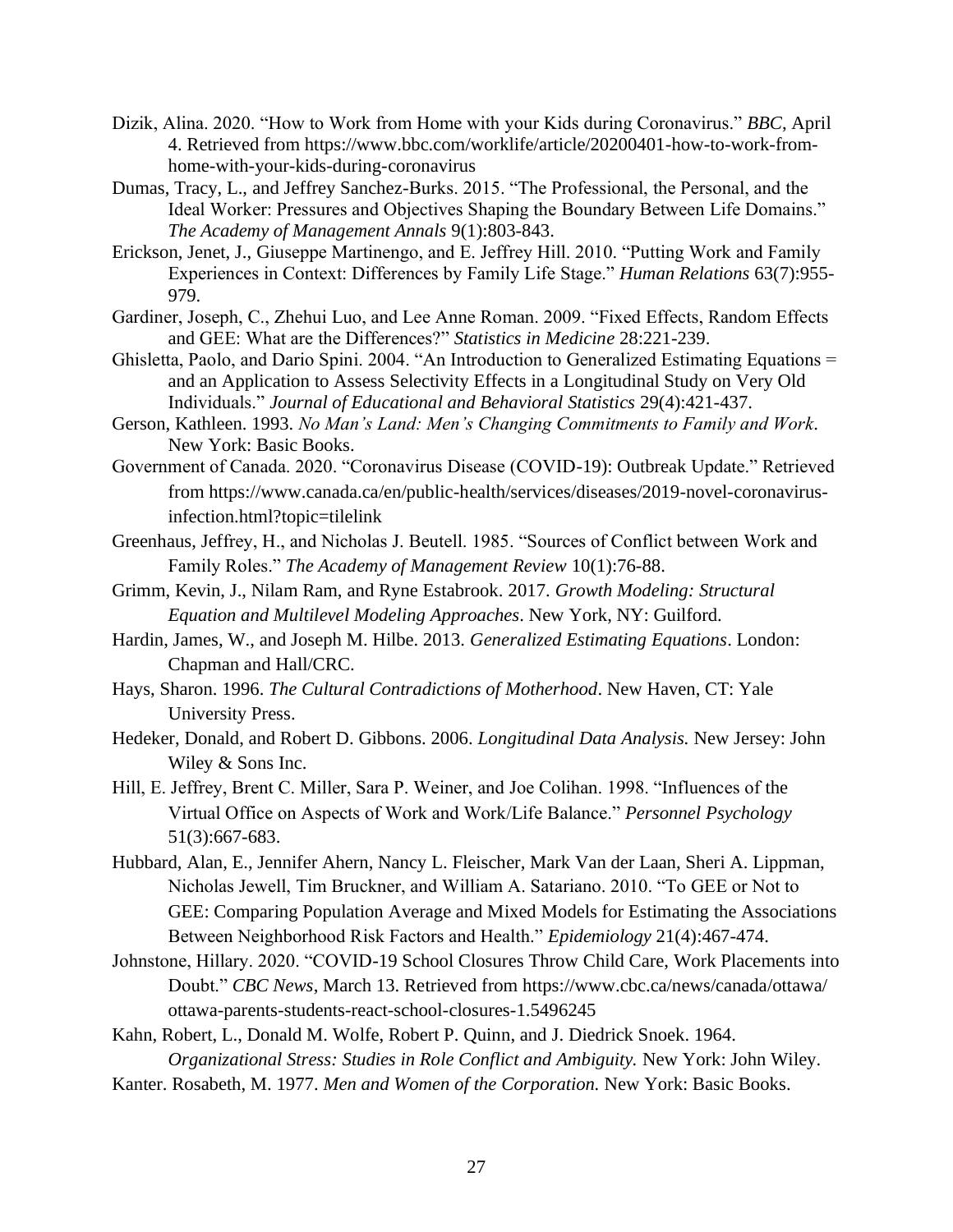- Dizik, Alina. 2020. "How to Work from Home with your Kids during Coronavirus." *BBC*, April 4. Retrieved from https://www.bbc.com/worklife/article/20200401-how-to-work-fromhome-with-your-kids-during-coronavirus
- Dumas, Tracy, L., and Jeffrey Sanchez-Burks. 2015. "The Professional, the Personal, and the Ideal Worker: Pressures and Objectives Shaping the Boundary Between Life Domains." *The Academy of Management Annals* 9(1):803-843.
- Erickson, Jenet, J., Giuseppe Martinengo, and E. Jeffrey Hill. 2010. "Putting Work and Family Experiences in Context: Differences by Family Life Stage." *Human Relations* 63(7):955- 979.
- Gardiner, Joseph, C., Zhehui Luo, and Lee Anne Roman. 2009. "Fixed Effects, Random Effects and GEE: What are the Differences?" *Statistics in Medicine* 28:221-239.
- Ghisletta, Paolo, and Dario Spini. 2004. "An Introduction to Generalized Estimating Equations = and an Application to Assess Selectivity Effects in a Longitudinal Study on Very Old Individuals." *Journal of Educational and Behavioral Statistics* 29(4):421-437.
- Gerson, Kathleen. 1993. *No Man's Land: Men's Changing Commitments to Family and Work*. New York: Basic Books.
- Government of Canada. 2020. "Coronavirus Disease (COVID-19): Outbreak Update." Retrieved from [https://www.canada.ca/en/public-health/services/diseases/2019-novel-coronavirus](https://www.canada.ca/en/public-health/services/diseases/2019-novel-coronavirus-%09%09infection.html?topic=tilelink)[infection.html?topic=tilelink](https://www.canada.ca/en/public-health/services/diseases/2019-novel-coronavirus-%09%09infection.html?topic=tilelink)
- Greenhaus, Jeffrey, H., and Nicholas J. Beutell. 1985. "Sources of Conflict between Work and Family Roles." *The Academy of Management Review* 10(1):76-88.
- Grimm, Kevin, J., Nilam Ram, and Ryne Estabrook. 2017. *Growth Modeling: Structural Equation and Multilevel Modeling Approaches*. New York, NY: Guilford.
- Hardin, James, W., and Joseph M. Hilbe. 2013. *Generalized Estimating Equations*. London: Chapman and Hall/CRC.
- Hays, Sharon. 1996. *The Cultural Contradictions of Motherhood*. New Haven, CT: Yale University Press.
- Hedeker, Donald, and Robert D. Gibbons. 2006. *Longitudinal Data Analysis.* New Jersey: John Wiley & Sons Inc.
- Hill, E. Jeffrey, Brent C. Miller, Sara P. Weiner, and Joe Colihan. 1998. "Influences of the Virtual Office on Aspects of Work and Work/Life Balance." *Personnel Psychology* 51(3):667-683.
- Hubbard, Alan, E., Jennifer Ahern, Nancy L. Fleischer, Mark Van der Laan, Sheri A. Lippman, Nicholas Jewell, Tim Bruckner, and William A. Satariano. 2010. "To GEE or Not to GEE: Comparing Population Average and Mixed Models for Estimating the Associations Between Neighborhood Risk Factors and Health." *Epidemiology* 21(4):467-474.
- Johnstone, Hillary. 2020. "COVID-19 School Closures Throw Child Care, Work Placements into Doubt." *CBC News*, March 13. Retrieved from [https://www.cbc.ca/news/canada/ottawa/](https://www.cbc.ca/news/canada/ottawa/%09ottawa-parents-students-react-school-closures-1.5496245) [ottawa-parents-students-react-school-closures-1.5496245](https://www.cbc.ca/news/canada/ottawa/%09ottawa-parents-students-react-school-closures-1.5496245)
- Kahn, Robert, L., Donald M. Wolfe, Robert P. Quinn, and J. Diedrick Snoek. 1964. *Organizational Stress: Studies in Role Conflict and Ambiguity.* New York: John Wiley.
- Kanter. Rosabeth, M. 1977. *Men and Women of the Corporation.* New York: Basic Books.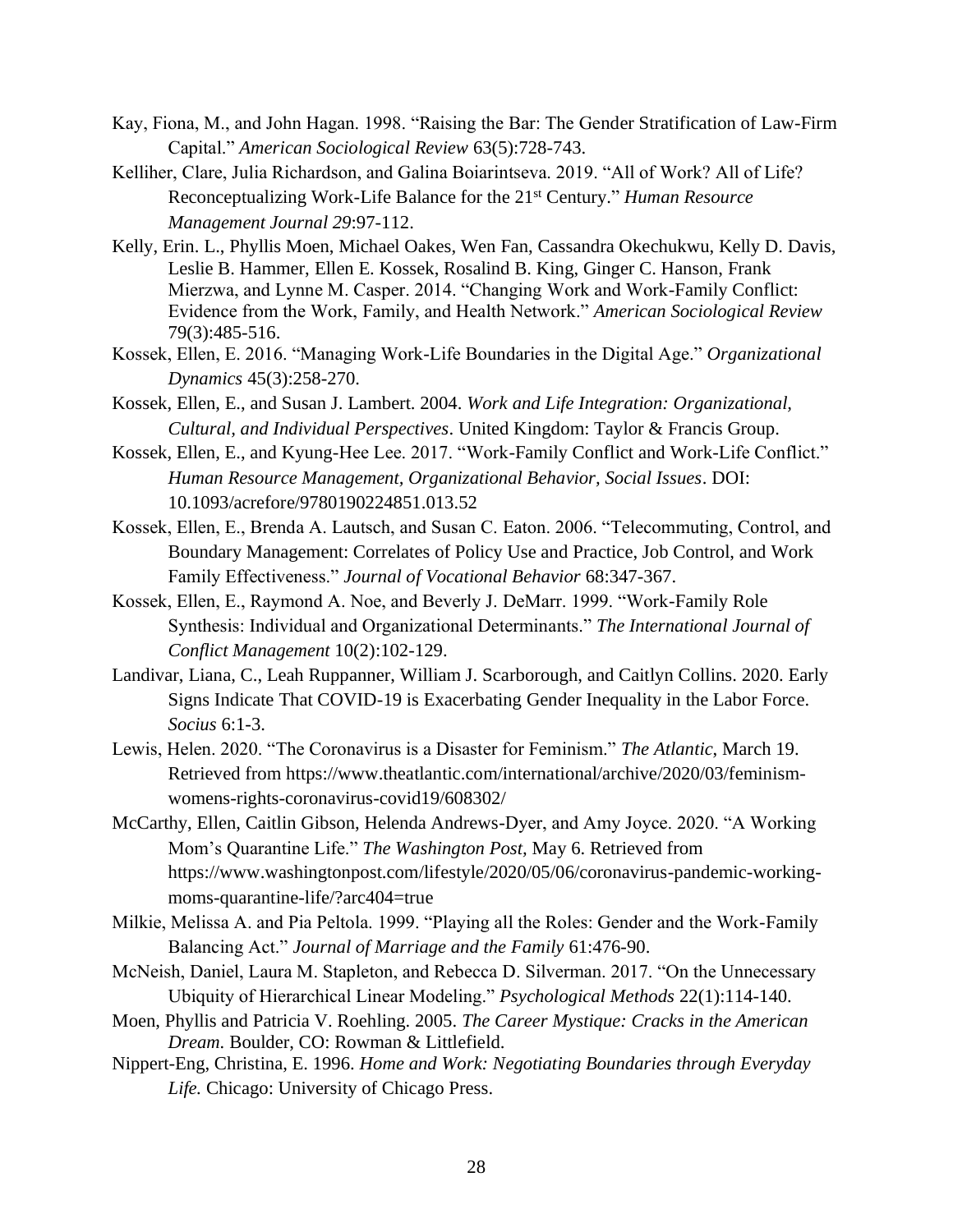- Kay, Fiona, M., and John Hagan. 1998. "Raising the Bar: The Gender Stratification of Law-Firm Capital." *American Sociological Review* 63(5):728-743.
- Kelliher, Clare, Julia Richardson, and Galina Boiarintseva. 2019. "All of Work? All of Life? Reconceptualizing Work-Life Balance for the 21st Century." *Human Resource Management Journal 29*:97-112.
- Kelly, Erin. L., Phyllis Moen, Michael Oakes, Wen Fan, Cassandra Okechukwu, Kelly D. Davis, Leslie B. Hammer, Ellen E. Kossek, Rosalind B. King, Ginger C. Hanson, Frank Mierzwa, and Lynne M. Casper. 2014. "Changing Work and Work-Family Conflict: Evidence from the Work, Family, and Health Network." *American Sociological Review*  79(3):485-516.
- Kossek, Ellen, E. 2016. "Managing Work-Life Boundaries in the Digital Age." *Organizational Dynamics* 45(3):258-270.
- Kossek, Ellen, E., and Susan J. Lambert. 2004. *Work and Life Integration: Organizational, Cultural, and Individual Perspectives*. United Kingdom: Taylor & Francis Group.
- Kossek, Ellen, E., and Kyung-Hee Lee. 2017. "Work-Family Conflict and Work-Life Conflict." *Human Resource Management, Organizational Behavior, Social Issues*. DOI: 10.1093/acrefore/9780190224851.013.52
- Kossek, Ellen, E., Brenda A. Lautsch, and Susan C. Eaton. 2006. "Telecommuting, Control, and Boundary Management: Correlates of Policy Use and Practice, Job Control, and Work Family Effectiveness." *Journal of Vocational Behavior* 68:347-367.
- Kossek, Ellen, E., Raymond A. Noe, and Beverly J. DeMarr. 1999. "Work-Family Role Synthesis: Individual and Organizational Determinants." *The International Journal of Conflict Management* 10(2):102-129.
- Landivar, Liana, C., Leah Ruppanner, William J. Scarborough, and Caitlyn Collins. 2020. Early Signs Indicate That COVID-19 is Exacerbating Gender Inequality in the Labor Force. *Socius* 6:1-3.
- Lewis, Helen. 2020. "The Coronavirus is a Disaster for Feminism." *The Atlantic*, March 19. Retrieved from [https://www.theatlantic.com/international/archive/2020/03/feminism](https://www.theatlantic.com/international/archive/2020/03/feminism-%09womens-rights-coronavirus-covid19/608302/)[womens-rights-coronavirus-covid19/608302/](https://www.theatlantic.com/international/archive/2020/03/feminism-%09womens-rights-coronavirus-covid19/608302/)
- McCarthy, Ellen, Caitlin Gibson, Helenda Andrews-Dyer, and Amy Joyce. 2020. "A Working Mom's Quarantine Life." *The Washington Post,* May 6. Retrieved from [https://www.washingtonpost.com/lifestyle/2020/05/06/coronavirus-pandemic-working](https://www.washingtonpost.com/lifestyle/2020/05/06/coronavirus-pandemic-working-%09moms-quarantine-life/?arc404=true)[moms-quarantine-life/?arc404=true](https://www.washingtonpost.com/lifestyle/2020/05/06/coronavirus-pandemic-working-%09moms-quarantine-life/?arc404=true)
- Milkie, Melissa A. and Pia Peltola. 1999. "Playing all the Roles: Gender and the Work-Family Balancing Act." *Journal of Marriage and the Family* 61:476-90.
- McNeish, Daniel, Laura M. Stapleton, and Rebecca D. Silverman. 2017. "On the Unnecessary Ubiquity of Hierarchical Linear Modeling." *Psychological Methods* 22(1):114-140.
- Moen, Phyllis and Patricia V. Roehling. 2005. *The Career Mystique: Cracks in the American Dream.* Boulder, CO: Rowman & Littlefield.
- Nippert-Eng, Christina, E. 1996. *Home and Work: Negotiating Boundaries through Everyday Life.* Chicago: University of Chicago Press.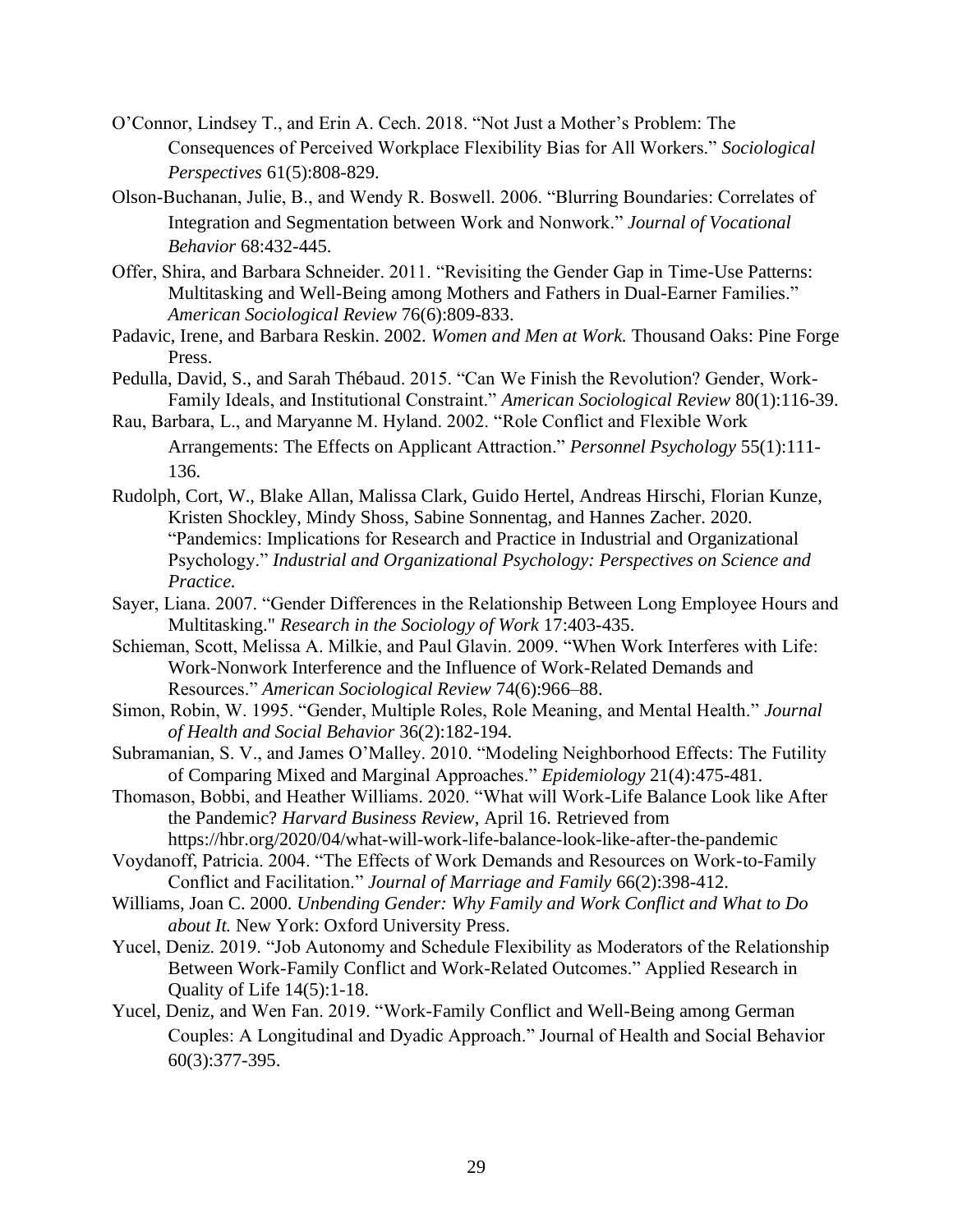- O'Connor, Lindsey T., and Erin A. Cech. 2018. "Not Just a Mother's Problem: The Consequences of Perceived Workplace Flexibility Bias for All Workers." *Sociological Perspectives* 61(5):808-829.
- Olson-Buchanan, Julie, B., and Wendy R. Boswell. 2006. "Blurring Boundaries: Correlates of Integration and Segmentation between Work and Nonwork." *Journal of Vocational Behavior* 68:432-445.
- Offer, Shira, and Barbara Schneider. 2011. "Revisiting the Gender Gap in Time-Use Patterns: Multitasking and Well-Being among Mothers and Fathers in Dual-Earner Families." *American Sociological Review* 76(6):809-833.
- Padavic, Irene, and Barbara Reskin. 2002. *Women and Men at Work.* Thousand Oaks: Pine Forge Press.
- Pedulla, David, S., and Sarah Thébaud. 2015. "Can We Finish the Revolution? Gender, Work-Family Ideals, and Institutional Constraint." *American Sociological Review* 80(1):116-39.
- Rau, Barbara, L., and Maryanne M. Hyland. 2002. "Role Conflict and Flexible Work Arrangements: The Effects on Applicant Attraction." *Personnel Psychology* 55(1):111- 136.
- Rudolph, Cort, W., Blake Allan, Malissa Clark, Guido Hertel, Andreas Hirschi, Florian Kunze, Kristen Shockley, Mindy Shoss, Sabine Sonnentag, and Hannes Zacher. 2020. "Pandemics: Implications for Research and Practice in Industrial and Organizational Psychology." *Industrial and Organizational Psychology: Perspectives on Science and Practice.*
- Sayer, Liana. 2007. "Gender Differences in the Relationship Between Long Employee Hours and Multitasking." *Research in the Sociology of Work* 17:403-435.
- Schieman, Scott, Melissa A. Milkie, and Paul Glavin. 2009. "When Work Interferes with Life: Work-Nonwork Interference and the Influence of Work-Related Demands and Resources." *American Sociological Review* 74(6):966–88.
- Simon, Robin, W. 1995. "Gender, Multiple Roles, Role Meaning, and Mental Health." *Journal of Health and Social Behavior* 36(2):182-194.
- Subramanian, S. V., and James O'Malley. 2010. "Modeling Neighborhood Effects: The Futility of Comparing Mixed and Marginal Approaches." *Epidemiology* 21(4):475-481.
- Thomason, Bobbi, and Heather Williams. 2020. "What will Work-Life Balance Look like After the Pandemic? *Harvard Business Review*, April 16. Retrieved from <https://hbr.org/2020/04/what-will-work-life-balance-look-like-after-the-pandemic>
- Voydanoff, Patricia. 2004. "The Effects of Work Demands and Resources on Work-to-Family Conflict and Facilitation." *Journal of Marriage and Family* 66(2):398-412.
- Williams, Joan C. 2000. *Unbending Gender: Why Family and Work Conflict and What to Do about It.* New York: Oxford University Press.
- Yucel, Deniz. 2019. "Job Autonomy and Schedule Flexibility as Moderators of the Relationship Between Work-Family Conflict and Work-Related Outcomes." Applied Research in Quality of Life 14(5):1-18.
- Yucel, Deniz, and Wen Fan. 2019. "Work-Family Conflict and Well-Being among German Couples: A Longitudinal and Dyadic Approach." Journal of Health and Social Behavior 60(3):377-395.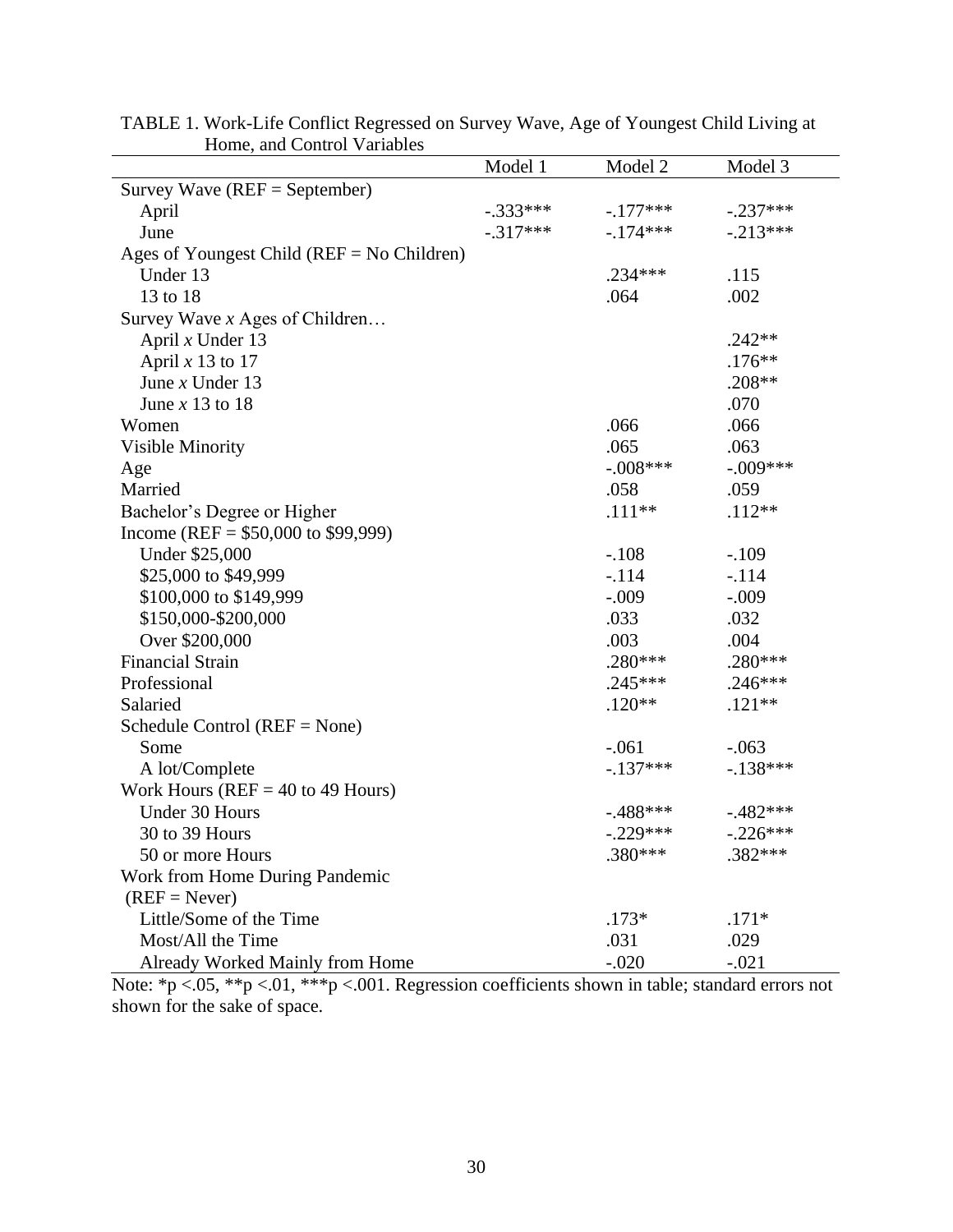| Trome, and Control variables                  |            |            |            |  |  |
|-----------------------------------------------|------------|------------|------------|--|--|
|                                               | Model 1    | Model 2    | Model 3    |  |  |
| Survey Wave ( $REF = September$ )             |            |            |            |  |  |
| April                                         | $-.333***$ | $-.177***$ | $-.237***$ |  |  |
| June                                          | $-.317***$ | $-174***$  | $-.213***$ |  |  |
| Ages of Youngest Child ( $REF = No$ Children) |            |            |            |  |  |
| Under 13                                      |            | $.234***$  | .115       |  |  |
| 13 to 18                                      |            | .064       | .002       |  |  |
| Survey Wave $x$ Ages of Children              |            |            |            |  |  |
| April $x$ Under 13                            |            |            | $.242**$   |  |  |
| April $x$ 13 to 17                            |            |            | $.176**$   |  |  |
| June $x$ Under 13                             |            |            | $.208**$   |  |  |
| June $x$ 13 to 18                             |            |            | .070       |  |  |
| Women                                         |            | .066       | .066       |  |  |
| <b>Visible Minority</b>                       |            | .065       | .063       |  |  |
| Age                                           |            | $-.008***$ | $-.009***$ |  |  |
| Married                                       |            | .058       | .059       |  |  |
| Bachelor's Degree or Higher                   |            | $.111**$   | $.112**$   |  |  |
| Income (REF = $$50,000$ to \$99,999)          |            |            |            |  |  |
| Under \$25,000                                |            | $-.108$    | $-.109$    |  |  |
| \$25,000 to \$49,999                          |            | $-.114$    | $-.114$    |  |  |
| \$100,000 to \$149,999                        |            | $-.009$    | $-.009$    |  |  |
| \$150,000-\$200,000                           |            | .033       | .032       |  |  |
| Over \$200,000                                |            | .003       | .004       |  |  |
| <b>Financial Strain</b>                       |            | $.280***$  | .280***    |  |  |
| Professional                                  |            | $.245***$  | $.246***$  |  |  |
| Salaried                                      |            | $.120**$   | $.121**$   |  |  |
| Schedule Control ( $REF = None$ )             |            |            |            |  |  |
| Some                                          |            | $-.061$    | $-.063$    |  |  |
| A lot/Complete                                |            | $-137***$  | $-138***$  |  |  |
| Work Hours ( $REF = 40$ to 49 Hours)          |            |            |            |  |  |
| Under 30 Hours                                |            | $-.488***$ | $-482***$  |  |  |
| 30 to 39 Hours                                |            | $-.229***$ | $-.226***$ |  |  |
| 50 or more Hours                              |            | $.380***$  | $.382***$  |  |  |
| Work from Home During Pandemic                |            |            |            |  |  |
| $(REF = Never)$                               |            |            |            |  |  |
| Little/Some of the Time                       |            | $.173*$    | $.171*$    |  |  |
| Most/All the Time                             |            | .031       | .029       |  |  |
| Already Worked Mainly from Home               |            | $-.020$    | $-.021$    |  |  |

TABLE 1. Work-Life Conflict Regressed on Survey Wave, Age of Youngest Child Living at Home, and Control Variables

Note: \*p <.05, \*\*p <.01, \*\*\*p <.001. Regression coefficients shown in table; standard errors not shown for the sake of space.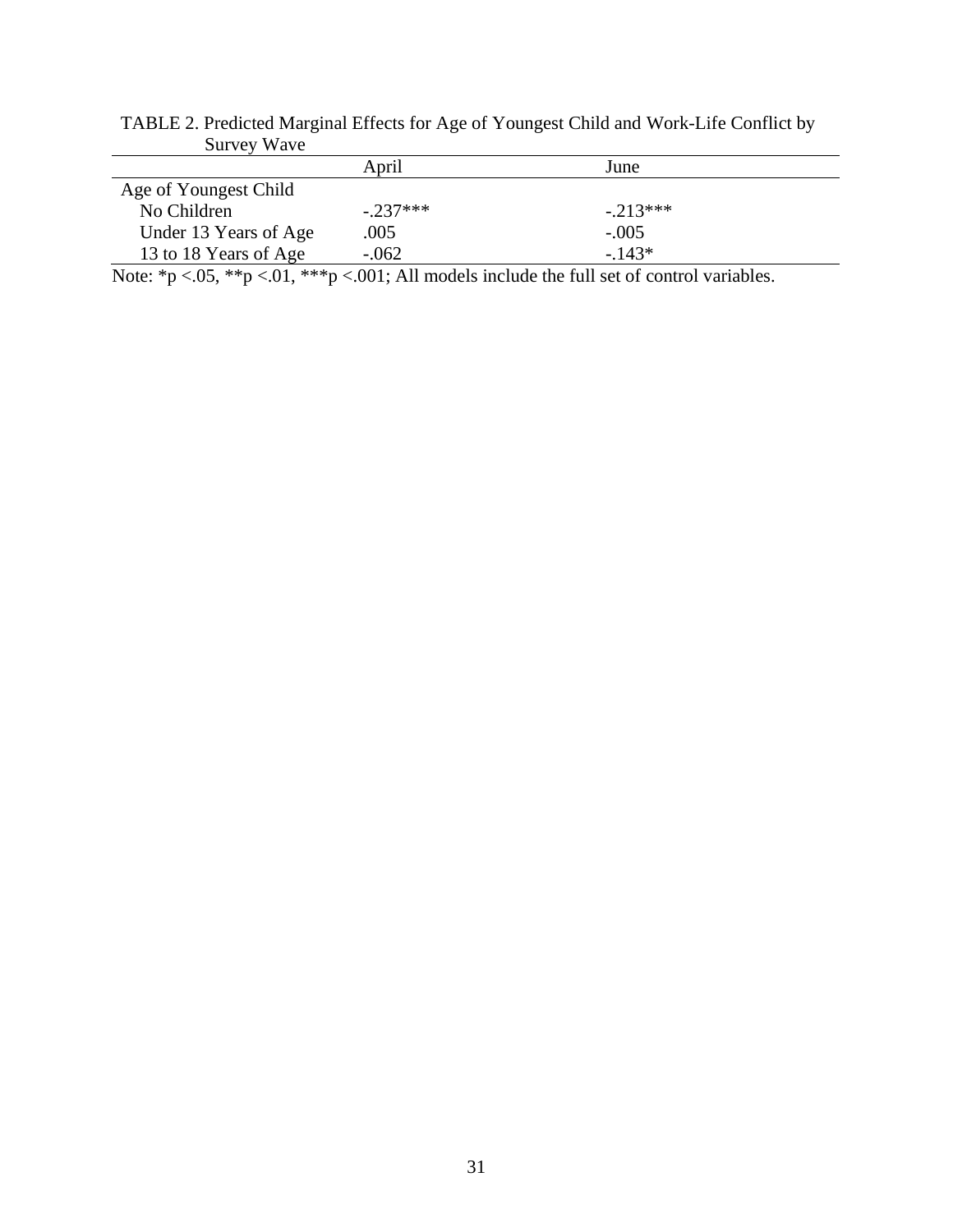|                       | April     | June        |  |
|-----------------------|-----------|-------------|--|
| Age of Youngest Child |           |             |  |
| No Children           | $-237***$ | $-0.213***$ |  |
| Under 13 Years of Age | .005      | $-.005$     |  |
| 13 to 18 Years of Age | $-.062$   | $-143*$     |  |

TABLE 2. Predicted Marginal Effects for Age of Youngest Child and Work-Life Conflict by Survey Wave

Note: \*p <.05, \*\*p <.01, \*\*\*p <.001; All models include the full set of control variables.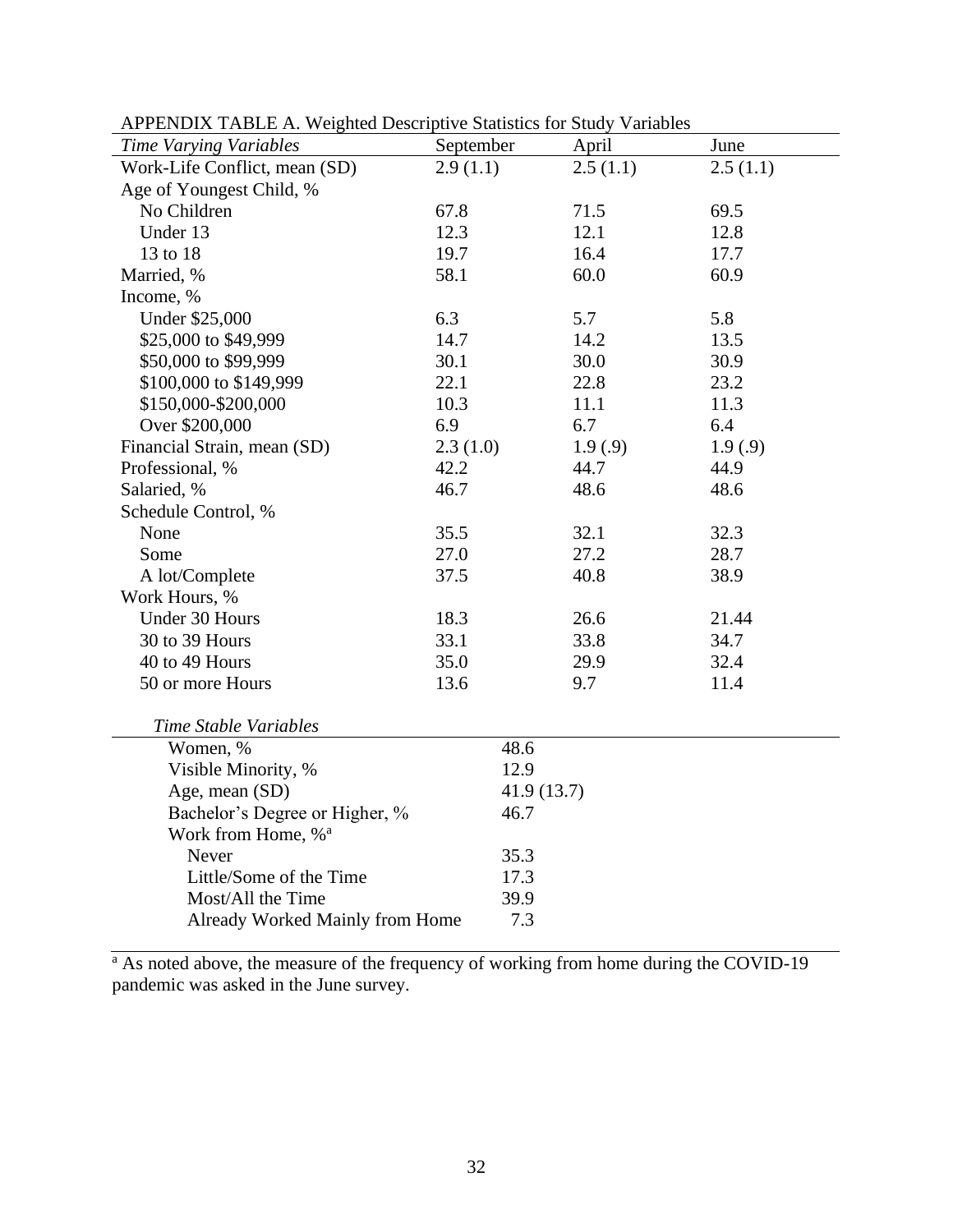| <b>Time Varying Variables</b>   | September  | April    | June     |
|---------------------------------|------------|----------|----------|
| Work-Life Conflict, mean (SD)   | 2.9(1.1)   | 2.5(1.1) | 2.5(1.1) |
| Age of Youngest Child, %        |            |          |          |
| No Children                     | 67.8       | 71.5     | 69.5     |
| Under 13                        | 12.3       | 12.1     | 12.8     |
| 13 to 18                        | 19.7       | 16.4     | 17.7     |
| Married, %                      | 58.1       | 60.0     | 60.9     |
| Income, %                       |            |          |          |
| Under \$25,000                  | 6.3        | 5.7      | 5.8      |
| \$25,000 to \$49,999            | 14.7       | 14.2     | 13.5     |
| \$50,000 to \$99,999            | 30.1       | 30.0     | 30.9     |
| \$100,000 to \$149,999          | 22.1       | 22.8     | 23.2     |
| \$150,000-\$200,000             | 10.3       | 11.1     | 11.3     |
| Over \$200,000                  | 6.9        | 6.7      | 6.4      |
| Financial Strain, mean (SD)     | 2.3(1.0)   | 1.9(.9)  | 1.9(.9)  |
| Professional, %                 | 42.2       | 44.7     | 44.9     |
| Salaried, %                     | 46.7       | 48.6     | 48.6     |
| Schedule Control, %             |            |          |          |
| None                            | 35.5       | 32.1     | 32.3     |
| Some                            | 27.0       | 27.2     | 28.7     |
| A lot/Complete                  | 37.5       | 40.8     | 38.9     |
| Work Hours, %                   |            |          |          |
| Under 30 Hours                  | 18.3       | 26.6     | 21.44    |
| 30 to 39 Hours                  | 33.1       | 33.8     | 34.7     |
| 40 to 49 Hours                  | 35.0       | 29.9     | 32.4     |
| 50 or more Hours                | 13.6       | 9.7      | 11.4     |
|                                 |            |          |          |
| Time Stable Variables           |            |          |          |
| Women, %                        | 48.6       |          |          |
| Visible Minority, %<br>12.9     |            |          |          |
| Age, mean (SD)                  | 41.9(13.7) |          |          |
| Bachelor's Degree or Higher, %  | 46.7       |          |          |
| Work from Home, % <sup>a</sup>  |            |          |          |
| Never                           | 35.3       |          |          |
| Little/Some of the Time         | 17.3       |          |          |
| Most/All the Time               | 39.9       |          |          |
| Already Worked Mainly from Home | 7.3        |          |          |

APPENDIX TABLE A. Weighted Descriptive Statistics for Study Variables

<sup>a</sup> As noted above, the measure of the frequency of working from home during the COVID-19 pandemic was asked in the June survey.